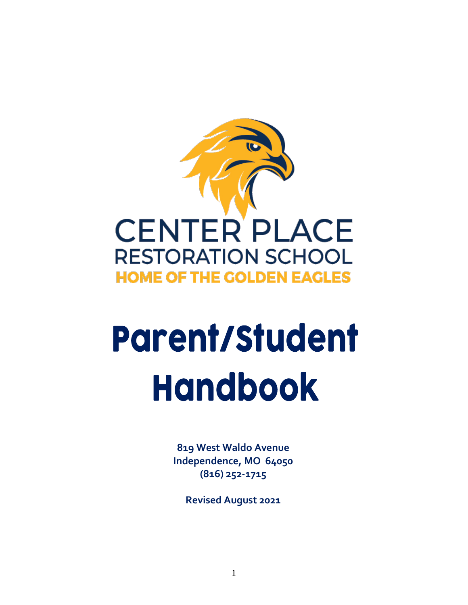

# **Parent/Student Handbook**

**819 West Waldo Avenue Independence, MO 64050 (816) 252-1715**

<span id="page-0-0"></span>**Revised August 2021**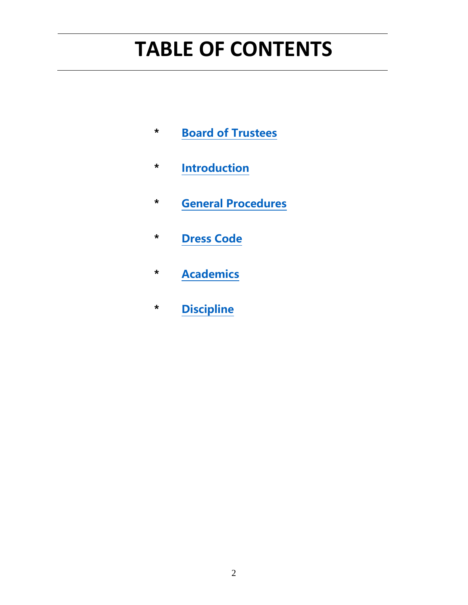# **TABLE OF CONTENTS**

- **\* [Board of Trustees](#page-2-0)**
- **\* [Introduction](#page-4-0)**
- **\* [General Procedures](#page-14-0)**
- **\* [Dress Code](#page-38-0)**
- **\* [Academics](#page-48-0)**
- **\* [Discipline](#page-60-0)**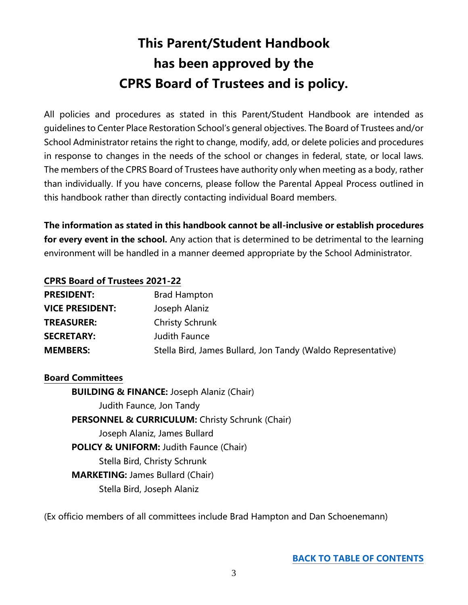### **This Parent/Student Handbook has been approved by the CPRS Board of Trustees and is policy.**

<span id="page-2-0"></span>All policies and procedures as stated in this Parent/Student Handbook are intended as guidelines to Center Place Restoration School's general objectives. The Board of Trustees and/or School Administrator retains the right to change, modify, add, or delete policies and procedures in response to changes in the needs of the school or changes in federal, state, or local laws. The members of the CPRS Board of Trustees have authority only when meeting as a body, rather than individually. If you have concerns, please follow the Parental Appeal Process outlined in this handbook rather than directly contacting individual Board members.

**The information as stated in this handbook cannot be all-inclusive or establish procedures for every event in the school.** Any action that is determined to be detrimental to the learning environment will be handled in a manner deemed appropriate by the School Administrator.

#### **CPRS Board of Trustees 2021-22**

| <b>PRESIDENT:</b>      | <b>Brad Hampton</b>                                          |
|------------------------|--------------------------------------------------------------|
| <b>VICE PRESIDENT:</b> | Joseph Alaniz                                                |
| <b>TREASURER:</b>      | <b>Christy Schrunk</b>                                       |
| <b>SECRETARY:</b>      | Judith Faunce                                                |
| <b>MEMBERS:</b>        | Stella Bird, James Bullard, Jon Tandy (Waldo Representative) |

#### **Board Committees**

**BUILDING & FINANCE:** Joseph Alaniz (Chair) Judith Faunce, Jon Tandy **PERSONNEL & CURRICULUM:** Christy Schrunk (Chair) Joseph Alaniz, James Bullard **POLICY & UNIFORM:** Judith Faunce (Chair) Stella Bird, Christy Schrunk **MARKETING:** James Bullard (Chair) Stella Bird, Joseph Alaniz

(Ex officio members of all committees include Brad Hampton and Dan Schoenemann)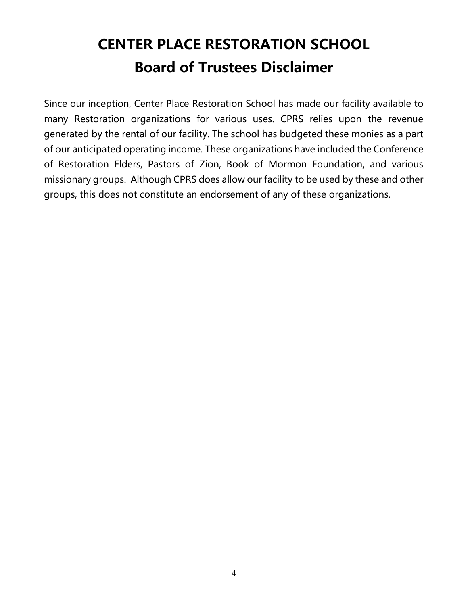### **CENTER PLACE RESTORATION SCHOOL Board of Trustees Disclaimer**

Since our inception, Center Place Restoration School has made our facility available to many Restoration organizations for various uses. CPRS relies upon the revenue generated by the rental of our facility. The school has budgeted these monies as a part of our anticipated operating income. These organizations have included the Conference of Restoration Elders, Pastors of Zion, Book of Mormon Foundation, and various missionary groups. Although CPRS does allow our facility to be used by these and other groups, this does not constitute an endorsement of any of these organizations.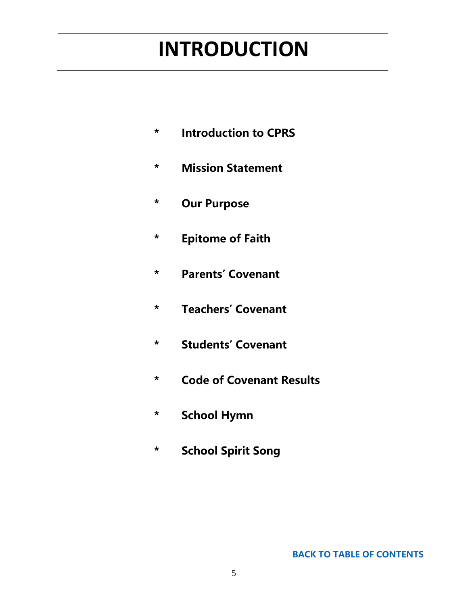# <span id="page-4-0"></span>**INTRODUCTION**

- **\* Introduction to CPRS**
- **\* Mission Statement**
- **\* Our Purpose**
- **\* Epitome of Faith**
- **\* Parents' Covenant**
- **\* Teachers' Covenant**
- **\* Students' Covenant**
- **\* Code of Covenant Results**
- **\* School Hymn**
- **\* School Spirit Song**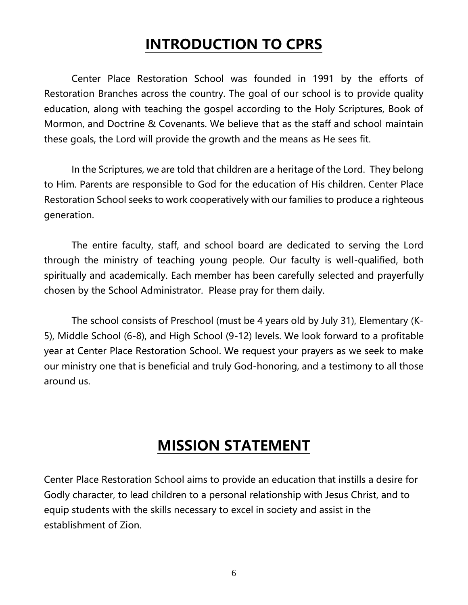### **INTRODUCTION TO CPRS**

Center Place Restoration School was founded in 1991 by the efforts of Restoration Branches across the country. The goal of our school is to provide quality education, along with teaching the gospel according to the Holy Scriptures, Book of Mormon, and Doctrine & Covenants. We believe that as the staff and school maintain these goals, the Lord will provide the growth and the means as He sees fit.

In the Scriptures, we are told that children are a heritage of the Lord. They belong to Him. Parents are responsible to God for the education of His children. Center Place Restoration School seeks to work cooperatively with our families to produce a righteous generation.

The entire faculty, staff, and school board are dedicated to serving the Lord through the ministry of teaching young people. Our faculty is well-qualified, both spiritually and academically. Each member has been carefully selected and prayerfully chosen by the School Administrator. Please pray for them daily.

The school consists of Preschool (must be 4 years old by July 31), Elementary (K-5), Middle School (6-8), and High School (9-12) levels. We look forward to a profitable year at Center Place Restoration School. We request your prayers as we seek to make our ministry one that is beneficial and truly God-honoring, and a testimony to all those around us.

### **MISSION STATEMENT**

Center Place Restoration School aims to provide an education that instills a desire for Godly character, to lead children to a personal relationship with Jesus Christ, and to equip students with the skills necessary to excel in society and assist in the establishment of Zion.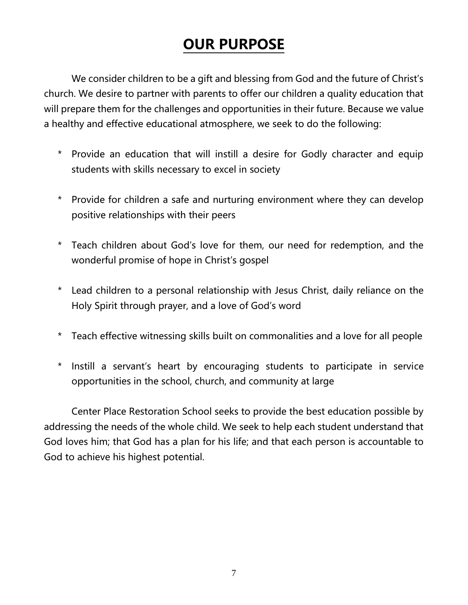### **OUR PURPOSE**

We consider children to be a gift and blessing from God and the future of Christ's church. We desire to partner with parents to offer our children a quality education that will prepare them for the challenges and opportunities in their future. Because we value a healthy and effective educational atmosphere, we seek to do the following:

- \* Provide an education that will instill a desire for Godly character and equip students with skills necessary to excel in society
- \* Provide for children a safe and nurturing environment where they can develop positive relationships with their peers
- \* Teach children about God's love for them, our need for redemption, and the wonderful promise of hope in Christ's gospel
- \* Lead children to a personal relationship with Jesus Christ, daily reliance on the Holy Spirit through prayer, and a love of God's word
- \* Teach effective witnessing skills built on commonalities and a love for all people
- \* Instill a servant's heart by encouraging students to participate in service opportunities in the school, church, and community at large

Center Place Restoration School seeks to provide the best education possible by addressing the needs of the whole child. We seek to help each student understand that God loves him; that God has a plan for his life; and that each person is accountable to God to achieve his highest potential.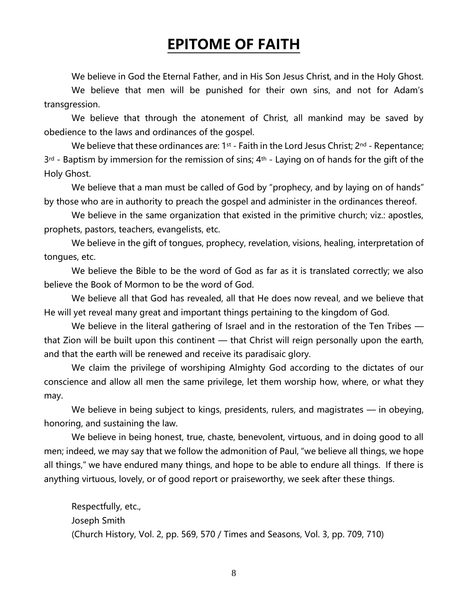### **EPITOME OF FAITH**

We believe in God the Eternal Father, and in His Son Jesus Christ, and in the Holy Ghost.

We believe that men will be punished for their own sins, and not for Adam's transgression.

We believe that through the atonement of Christ, all mankind may be saved by obedience to the laws and ordinances of the gospel.

We believe that these ordinances are:  $1^{st}$  - Faith in the Lord Jesus Christ;  $2^{nd}$  - Repentance;  $3<sup>rd</sup>$  - Baptism by immersion for the remission of sins;  $4<sup>th</sup>$  - Laying on of hands for the gift of the Holy Ghost.

We believe that a man must be called of God by "prophecy, and by laying on of hands" by those who are in authority to preach the gospel and administer in the ordinances thereof.

We believe in the same organization that existed in the primitive church; viz.: apostles, prophets, pastors, teachers, evangelists, etc.

We believe in the gift of tongues, prophecy, revelation, visions, healing, interpretation of tongues, etc.

We believe the Bible to be the word of God as far as it is translated correctly; we also believe the Book of Mormon to be the word of God.

We believe all that God has revealed, all that He does now reveal, and we believe that He will yet reveal many great and important things pertaining to the kingdom of God.

We believe in the literal gathering of Israel and in the restoration of the Ten Tribes that Zion will be built upon this continent — that Christ will reign personally upon the earth, and that the earth will be renewed and receive its paradisaic glory.

We claim the privilege of worshiping Almighty God according to the dictates of our conscience and allow all men the same privilege, let them worship how, where, or what they may.

We believe in being subject to kings, presidents, rulers, and magistrates — in obeying, honoring, and sustaining the law.

We believe in being honest, true, chaste, benevolent, virtuous, and in doing good to all men; indeed, we may say that we follow the admonition of Paul, "we believe all things, we hope all things," we have endured many things, and hope to be able to endure all things. If there is anything virtuous, lovely, or of good report or praiseworthy, we seek after these things.

Respectfully, etc., Joseph Smith (Church History, Vol. 2, pp. 569, 570 / Times and Seasons, Vol. 3, pp. 709, 710)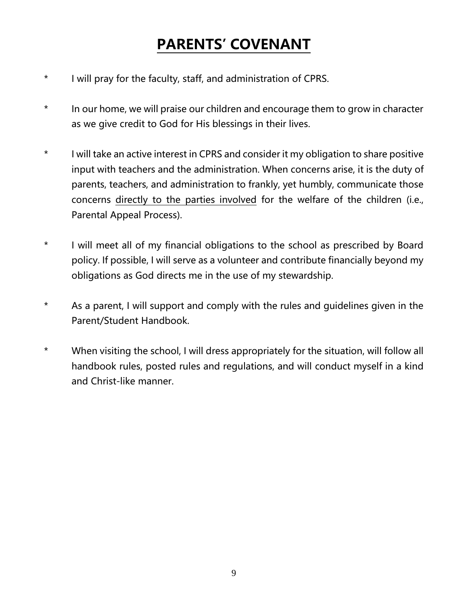### **PARENTS' COVENANT**

- \* I will pray for the faculty, staff, and administration of CPRS.
- \* In our home, we will praise our children and encourage them to grow in character as we give credit to God for His blessings in their lives.
- \* I will take an active interest in CPRS and consider it my obligation to share positive input with teachers and the administration. When concerns arise, it is the duty of parents, teachers, and administration to frankly, yet humbly, communicate those concerns directly to the parties involved for the welfare of the children (i.e., Parental Appeal Process).
- \* I will meet all of my financial obligations to the school as prescribed by Board policy. If possible, I will serve as a volunteer and contribute financially beyond my obligations as God directs me in the use of my stewardship.
- \* As a parent, I will support and comply with the rules and guidelines given in the Parent/Student Handbook.
- \* When visiting the school, I will dress appropriately for the situation, will follow all handbook rules, posted rules and regulations, and will conduct myself in a kind and Christ-like manner.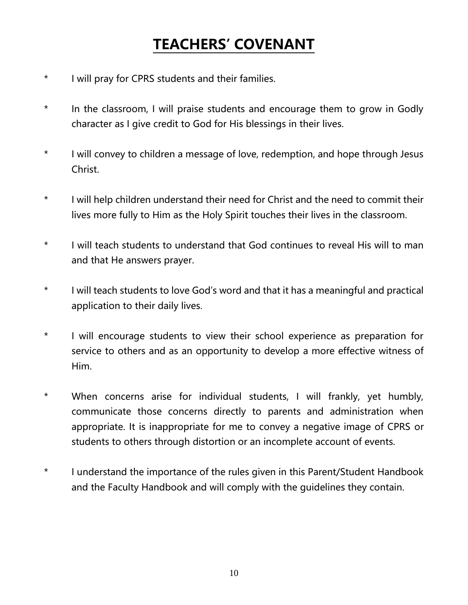### **TEACHERS' COVENANT**

- \* I will pray for CPRS students and their families.
- \* In the classroom, I will praise students and encourage them to grow in Godly character as I give credit to God for His blessings in their lives.
- \* I will convey to children a message of love, redemption, and hope through Jesus Christ.
- \* I will help children understand their need for Christ and the need to commit their lives more fully to Him as the Holy Spirit touches their lives in the classroom.
- \* I will teach students to understand that God continues to reveal His will to man and that He answers prayer.
- \* I will teach students to love God's word and that it has a meaningful and practical application to their daily lives.
- \* I will encourage students to view their school experience as preparation for service to others and as an opportunity to develop a more effective witness of Him.
- \* When concerns arise for individual students, I will frankly, yet humbly, communicate those concerns directly to parents and administration when appropriate. It is inappropriate for me to convey a negative image of CPRS or students to others through distortion or an incomplete account of events.
- \* I understand the importance of the rules given in this Parent/Student Handbook and the Faculty Handbook and will comply with the guidelines they contain.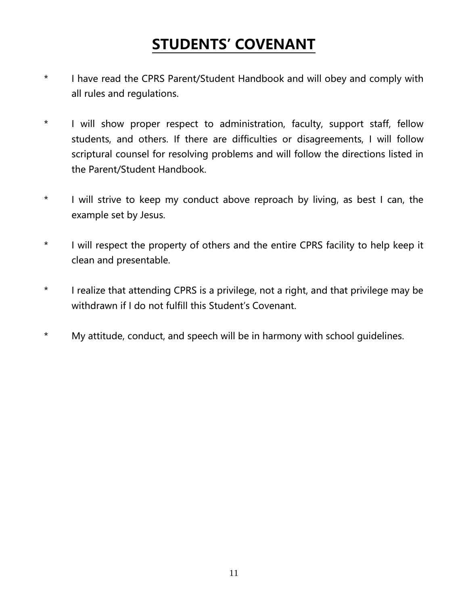### **STUDENTS' COVENANT**

- \* I have read the CPRS Parent/Student Handbook and will obey and comply with all rules and regulations.
- \* I will show proper respect to administration, faculty, support staff, fellow students, and others. If there are difficulties or disagreements, I will follow scriptural counsel for resolving problems and will follow the directions listed in the Parent/Student Handbook.
- \* I will strive to keep my conduct above reproach by living, as best I can, the example set by Jesus.
- \* I will respect the property of others and the entire CPRS facility to help keep it clean and presentable.
- \* I realize that attending CPRS is a privilege, not a right, and that privilege may be withdrawn if I do not fulfill this Student's Covenant.
- \* My attitude, conduct, and speech will be in harmony with school guidelines.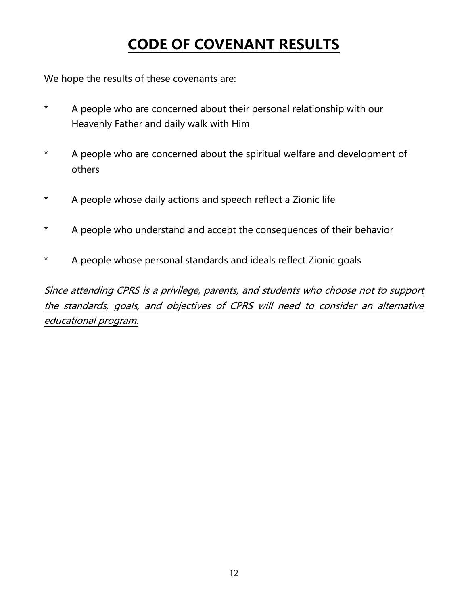### **CODE OF COVENANT RESULTS**

We hope the results of these covenants are:

- \* A people who are concerned about their personal relationship with our Heavenly Father and daily walk with Him
- \* A people who are concerned about the spiritual welfare and development of others
- \* A people whose daily actions and speech reflect a Zionic life
- \* A people who understand and accept the consequences of their behavior
- \* A people whose personal standards and ideals reflect Zionic goals

Since attending CPRS is a privilege, parents, and students who choose not to support the standards, goals, and objectives of CPRS will need to consider an alternative educational program.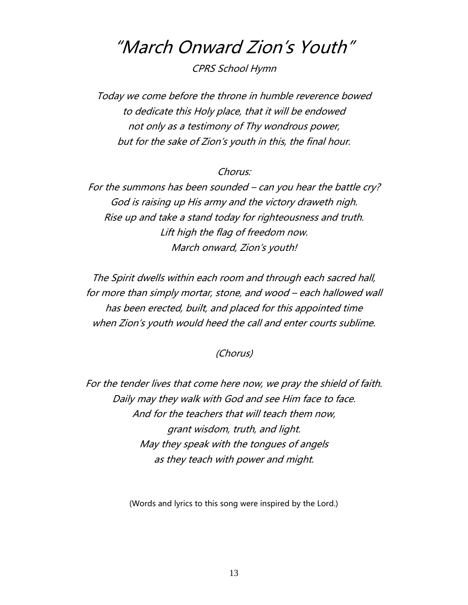### "March Onward Zion's Youth"

CPRS School Hymn

Today we come before the throne in humble reverence bowed to dedicate this Holy place, that it will be endowed not only as a testimony of Thy wondrous power, but for the sake of Zion's youth in this, the final hour.

#### Chorus:

For the summons has been sounded – can you hear the battle cry? God is raising up His army and the victory draweth nigh. Rise up and take a stand today for righteousness and truth. Lift high the flag of freedom now. March onward, Zion's youth!

The Spirit dwells within each room and through each sacred hall, for more than simply mortar, stone, and wood – each hallowed wall has been erected, built, and placed for this appointed time when Zion's youth would heed the call and enter courts sublime.

#### (Chorus)

For the tender lives that come here now, we pray the shield of faith. Daily may they walk with God and see Him face to face. And for the teachers that will teach them now, grant wisdom, truth, and light. May they speak with the tongues of angels as they teach with power and might.

(Words and lyrics to this song were inspired by the Lord.)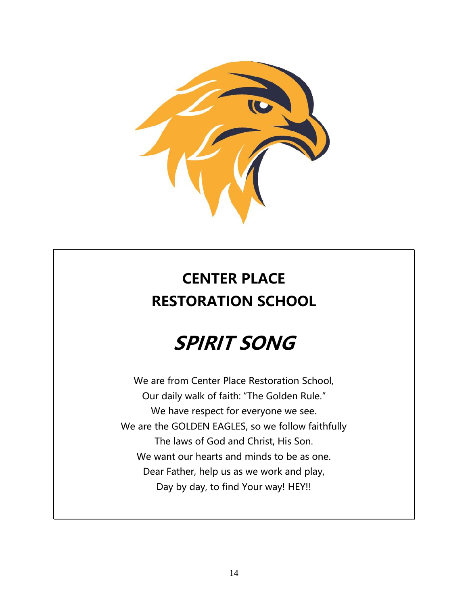

### **CENTER PLACE RESTORATION SCHOOL**

# **SPIRIT SONG**

We are from Center Place Restoration School, Our daily walk of faith: "The Golden Rule." We have respect for everyone we see. We are the GOLDEN EAGLES, so we follow faithfully The laws of God and Christ, His Son. We want our hearts and minds to be as one. Dear Father, help us as we work and play, Day by day, to find Your way! HEY!!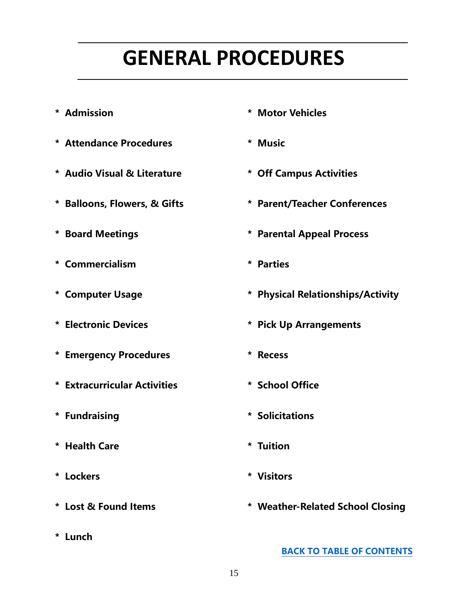# **GENERAL PROCEDURES**

- <span id="page-14-0"></span>
- **\* Attendance Procedures \* Music**
- **\* Audio Visual & Literature \* Off Campus Activities**
- 
- 
- **\* Commercialism \* Parties**
- 
- 
- **\* Emergency Procedures \* Recess**
- **\* Extracurricular Activities \* School Office**
- 
- **\* Health Care \* Tuition**
- **\* Lockers \* Visitors**
- 
- **\* Lunch**
- **\* Admission \* Motor Vehicles**
	-
	-
- **\* Balloons, Flowers, & Gifts \* Parent/Teacher Conferences**
- **\* Board Meetings \* Parental Appeal Process**
	-
- **\* Computer Usage \* Physical Relationships/Activity**
- **\* Electronic Devices \* Pick Up Arrangements**
	-
	-
- **\* Fundraising \* Solicitations**
	-
	-
- **\* Lost & Found Items \* Weather-Related School Closing**

**[BACK TO TABLE OF CONTENTS](#page-0-0)**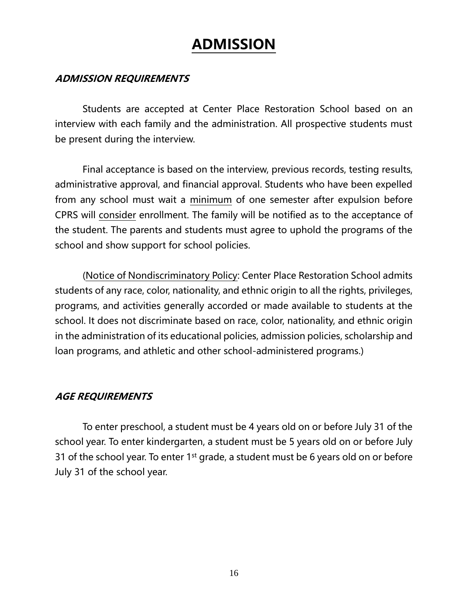### **ADMISSION**

#### **ADMISSION REQUIREMENTS**

Students are accepted at Center Place Restoration School based on an interview with each family and the administration. All prospective students must be present during the interview.

Final acceptance is based on the interview, previous records, testing results, administrative approval, and financial approval. Students who have been expelled from any school must wait a minimum of one semester after expulsion before CPRS will consider enrollment. The family will be notified as to the acceptance of the student. The parents and students must agree to uphold the programs of the school and show support for school policies.

(Notice of Nondiscriminatory Policy: Center Place Restoration School admits students of any race, color, nationality, and ethnic origin to all the rights, privileges, programs, and activities generally accorded or made available to students at the school. It does not discriminate based on race, color, nationality, and ethnic origin in the administration of its educational policies, admission policies, scholarship and loan programs, and athletic and other school-administered programs.)

#### **AGE REQUIREMENTS**

To enter preschool, a student must be 4 years old on or before July 31 of the school year. To enter kindergarten, a student must be 5 years old on or before July 31 of the school year. To enter 1<sup>st</sup> grade, a student must be 6 years old on or before July 31 of the school year.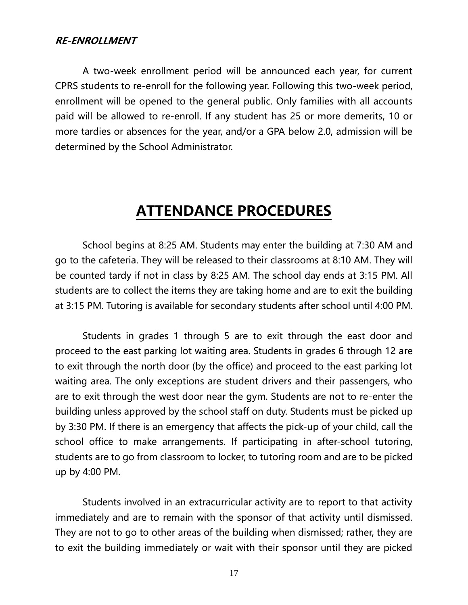#### **RE-ENROLLMENT**

A two-week enrollment period will be announced each year, for current CPRS students to re-enroll for the following year. Following this two-week period, enrollment will be opened to the general public. Only families with all accounts paid will be allowed to re-enroll. If any student has 25 or more demerits, 10 or more tardies or absences for the year, and/or a GPA below 2.0, admission will be determined by the School Administrator.

### **ATTENDANCE PROCEDURES**

School begins at 8:25 AM. Students may enter the building at 7:30 AM and go to the cafeteria. They will be released to their classrooms at 8:10 AM. They will be counted tardy if not in class by 8:25 AM. The school day ends at 3:15 PM. All students are to collect the items they are taking home and are to exit the building at 3:15 PM. Tutoring is available for secondary students after school until 4:00 PM.

Students in grades 1 through 5 are to exit through the east door and proceed to the east parking lot waiting area. Students in grades 6 through 12 are to exit through the north door (by the office) and proceed to the east parking lot waiting area. The only exceptions are student drivers and their passengers, who are to exit through the west door near the gym. Students are not to re-enter the building unless approved by the school staff on duty. Students must be picked up by 3:30 PM. If there is an emergency that affects the pick-up of your child, call the school office to make arrangements. If participating in after-school tutoring, students are to go from classroom to locker, to tutoring room and are to be picked up by 4:00 PM.

Students involved in an extracurricular activity are to report to that activity immediately and are to remain with the sponsor of that activity until dismissed. They are not to go to other areas of the building when dismissed; rather, they are to exit the building immediately or wait with their sponsor until they are picked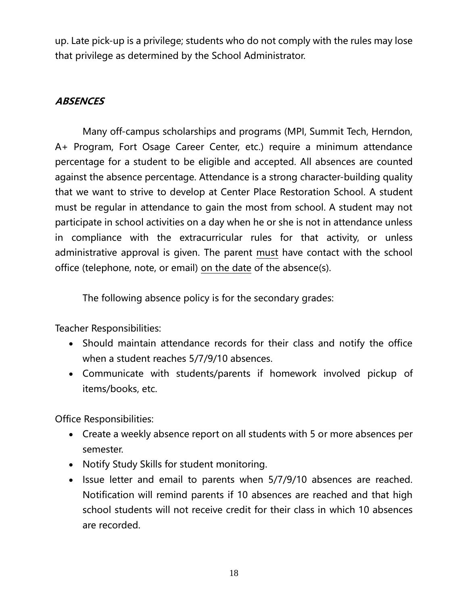up. Late pick-up is a privilege; students who do not comply with the rules may lose that privilege as determined by the School Administrator.

#### **ABSENCES**

Many off-campus scholarships and programs (MPI, Summit Tech, Herndon, A+ Program, Fort Osage Career Center, etc.) require a minimum attendance percentage for a student to be eligible and accepted. All absences are counted against the absence percentage. Attendance is a strong character-building quality that we want to strive to develop at Center Place Restoration School. A student must be regular in attendance to gain the most from school. A student may not participate in school activities on a day when he or she is not in attendance unless in compliance with the extracurricular rules for that activity, or unless administrative approval is given. The parent must have contact with the school office (telephone, note, or email) on the date of the absence(s).

The following absence policy is for the secondary grades:

Teacher Responsibilities:

- Should maintain attendance records for their class and notify the office when a student reaches 5/7/9/10 absences.
- Communicate with students/parents if homework involved pickup of items/books, etc.

Office Responsibilities:

- Create a weekly absence report on all students with 5 or more absences per semester.
- Notify Study Skills for student monitoring.
- Issue letter and email to parents when 5/7/9/10 absences are reached. Notification will remind parents if 10 absences are reached and that high school students will not receive credit for their class in which 10 absences are recorded.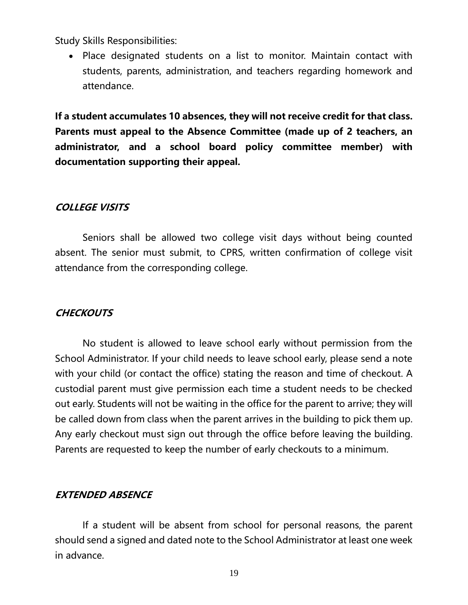Study Skills Responsibilities:

• Place designated students on a list to monitor. Maintain contact with students, parents, administration, and teachers regarding homework and attendance.

**If a student accumulates 10 absences, they will not receive credit for that class. Parents must appeal to the Absence Committee (made up of 2 teachers, an administrator, and a school board policy committee member) with documentation supporting their appeal.**

#### **COLLEGE VISITS**

Seniors shall be allowed two college visit days without being counted absent. The senior must submit, to CPRS, written confirmation of college visit attendance from the corresponding college.

#### **CHECKOUTS**

No student is allowed to leave school early without permission from the School Administrator. If your child needs to leave school early, please send a note with your child (or contact the office) stating the reason and time of checkout. A custodial parent must give permission each time a student needs to be checked out early. Students will not be waiting in the office for the parent to arrive; they will be called down from class when the parent arrives in the building to pick them up. Any early checkout must sign out through the office before leaving the building. Parents are requested to keep the number of early checkouts to a minimum.

#### **EXTENDED ABSENCE**

If a student will be absent from school for personal reasons, the parent should send a signed and dated note to the School Administrator at least one week in advance.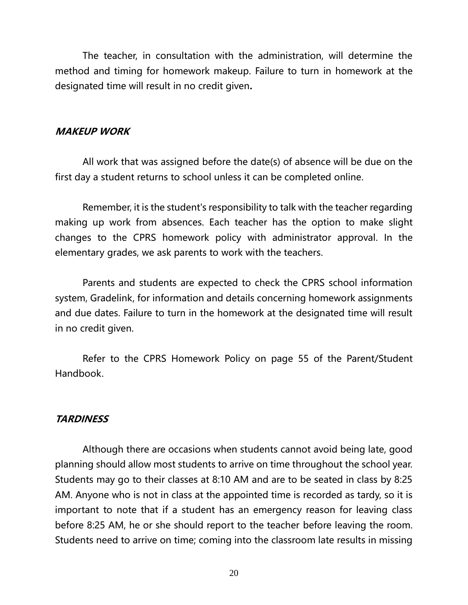The teacher, in consultation with the administration, will determine the method and timing for homework makeup. Failure to turn in homework at the designated time will result in no credit given**.**

#### **MAKEUP WORK**

All work that was assigned before the date(s) of absence will be due on the first day a student returns to school unless it can be completed online.

Remember, it is the student's responsibility to talk with the teacher regarding making up work from absences. Each teacher has the option to make slight changes to the CPRS homework policy with administrator approval. In the elementary grades, we ask parents to work with the teachers.

Parents and students are expected to check the CPRS school information system, Gradelink, for information and details concerning homework assignments and due dates. Failure to turn in the homework at the designated time will result in no credit given.

Refer to the CPRS Homework Policy on page 55 of the Parent/Student Handbook.

#### **TARDINESS**

Although there are occasions when students cannot avoid being late, good planning should allow most students to arrive on time throughout the school year. Students may go to their classes at 8:10 AM and are to be seated in class by 8:25 AM. Anyone who is not in class at the appointed time is recorded as tardy, so it is important to note that if a student has an emergency reason for leaving class before 8:25 AM, he or she should report to the teacher before leaving the room. Students need to arrive on time; coming into the classroom late results in missing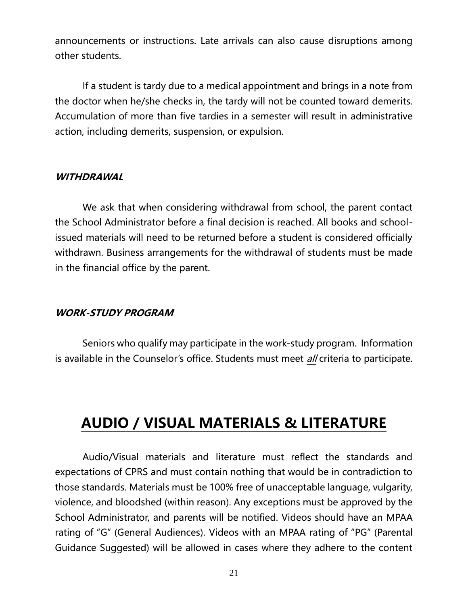announcements or instructions. Late arrivals can also cause disruptions among other students.

If a student is tardy due to a medical appointment and brings in a note from the doctor when he/she checks in, the tardy will not be counted toward demerits. Accumulation of more than five tardies in a semester will result in administrative action, including demerits, suspension, or expulsion.

#### **WITHDRAWAL**

We ask that when considering withdrawal from school, the parent contact the School Administrator before a final decision is reached. All books and schoolissued materials will need to be returned before a student is considered officially withdrawn. Business arrangements for the withdrawal of students must be made in the financial office by the parent.

#### **WORK-STUDY PROGRAM**

Seniors who qualify may participate in the work-study program. Information is available in the Counselor's office. Students must meet *all* criteria to participate.

### **AUDIO / VISUAL MATERIALS & LITERATURE**

Audio/Visual materials and literature must reflect the standards and expectations of CPRS and must contain nothing that would be in contradiction to those standards. Materials must be 100% free of unacceptable language, vulgarity, violence, and bloodshed (within reason). Any exceptions must be approved by the School Administrator, and parents will be notified. Videos should have an MPAA rating of "G" (General Audiences). Videos with an MPAA rating of "PG" (Parental Guidance Suggested) will be allowed in cases where they adhere to the content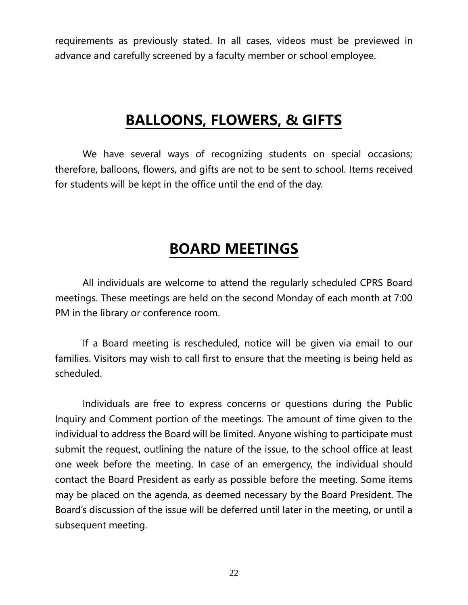requirements as previously stated. In all cases, videos must be previewed in advance and carefully screened by a faculty member or school employee.

### **BALLOONS, FLOWERS, & GIFTS**

We have several ways of recognizing students on special occasions; therefore, balloons, flowers, and gifts are not to be sent to school. Items received for students will be kept in the office until the end of the day.

### **BOARD MEETINGS**

All individuals are welcome to attend the regularly scheduled CPRS Board meetings. These meetings are held on the second Monday of each month at 7:00 PM in the library or conference room.

If a Board meeting is rescheduled, notice will be given via email to our families. Visitors may wish to call first to ensure that the meeting is being held as scheduled.

Individuals are free to express concerns or questions during the Public Inquiry and Comment portion of the meetings. The amount of time given to the individual to address the Board will be limited. Anyone wishing to participate must submit the request, outlining the nature of the issue, to the school office at least one week before the meeting. In case of an emergency, the individual should contact the Board President as early as possible before the meeting. Some items may be placed on the agenda, as deemed necessary by the Board President. The Board's discussion of the issue will be deferred until later in the meeting, or until a subsequent meeting.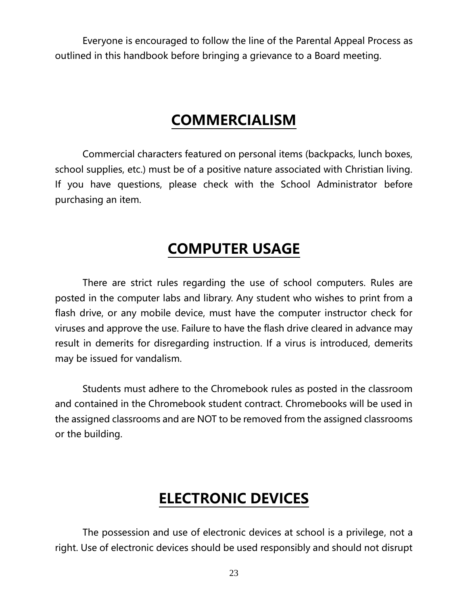Everyone is encouraged to follow the line of the Parental Appeal Process as outlined in this handbook before bringing a grievance to a Board meeting.

### **COMMERCIALISM**

Commercial characters featured on personal items (backpacks, lunch boxes, school supplies, etc.) must be of a positive nature associated with Christian living. If you have questions, please check with the School Administrator before purchasing an item.

### **COMPUTER USAGE**

There are strict rules regarding the use of school computers. Rules are posted in the computer labs and library. Any student who wishes to print from a flash drive, or any mobile device, must have the computer instructor check for viruses and approve the use. Failure to have the flash drive cleared in advance may result in demerits for disregarding instruction. If a virus is introduced, demerits may be issued for vandalism.

Students must adhere to the Chromebook rules as posted in the classroom and contained in the Chromebook student contract. Chromebooks will be used in the assigned classrooms and are NOT to be removed from the assigned classrooms or the building.

### **ELECTRONIC DEVICES**

The possession and use of electronic devices at school is a privilege, not a right. Use of electronic devices should be used responsibly and should not disrupt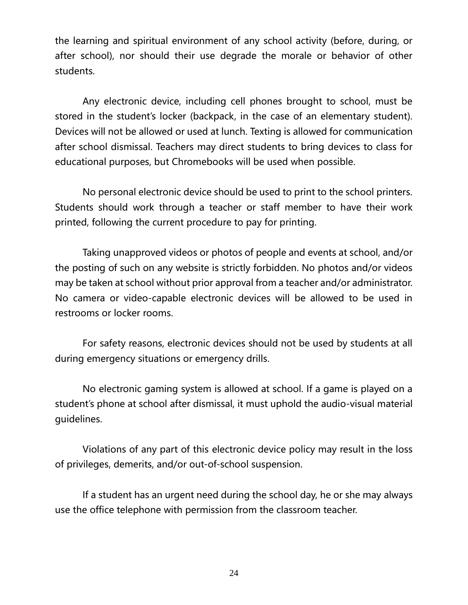the learning and spiritual environment of any school activity (before, during, or after school), nor should their use degrade the morale or behavior of other students.

Any electronic device, including cell phones brought to school, must be stored in the student's locker (backpack, in the case of an elementary student). Devices will not be allowed or used at lunch. Texting is allowed for communication after school dismissal. Teachers may direct students to bring devices to class for educational purposes, but Chromebooks will be used when possible.

No personal electronic device should be used to print to the school printers. Students should work through a teacher or staff member to have their work printed, following the current procedure to pay for printing.

Taking unapproved videos or photos of people and events at school, and/or the posting of such on any website is strictly forbidden. No photos and/or videos may be taken at school without prior approval from a teacher and/or administrator. No camera or video-capable electronic devices will be allowed to be used in restrooms or locker rooms.

For safety reasons, electronic devices should not be used by students at all during emergency situations or emergency drills.

No electronic gaming system is allowed at school. If a game is played on a student's phone at school after dismissal, it must uphold the audio-visual material guidelines.

Violations of any part of this electronic device policy may result in the loss of privileges, demerits, and/or out-of-school suspension.

If a student has an urgent need during the school day, he or she may always use the office telephone with permission from the classroom teacher.

24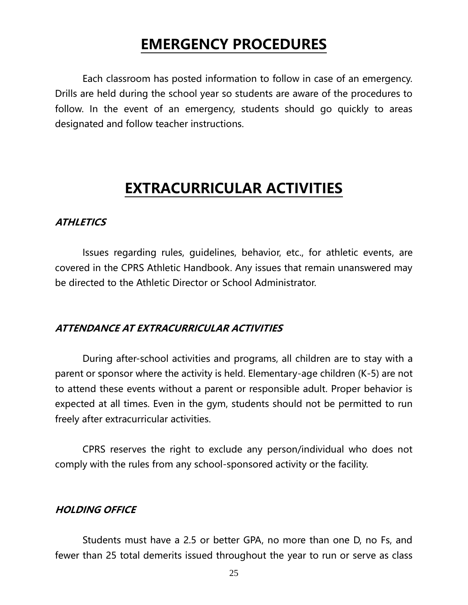### **EMERGENCY PROCEDURES**

Each classroom has posted information to follow in case of an emergency. Drills are held during the school year so students are aware of the procedures to follow. In the event of an emergency, students should go quickly to areas designated and follow teacher instructions.

### **EXTRACURRICULAR ACTIVITIES**

#### **ATHLETICS**

Issues regarding rules, guidelines, behavior, etc., for athletic events, are covered in the CPRS Athletic Handbook. Any issues that remain unanswered may be directed to the Athletic Director or School Administrator.

#### **ATTENDANCE AT EXTRACURRICULAR ACTIVITIES**

During after-school activities and programs, all children are to stay with a parent or sponsor where the activity is held. Elementary-age children (K-5) are not to attend these events without a parent or responsible adult. Proper behavior is expected at all times. Even in the gym, students should not be permitted to run freely after extracurricular activities.

CPRS reserves the right to exclude any person/individual who does not comply with the rules from any school-sponsored activity or the facility.

#### **HOLDING OFFICE**

Students must have a 2.5 or better GPA, no more than one D, no Fs, and fewer than 25 total demerits issued throughout the year to run or serve as class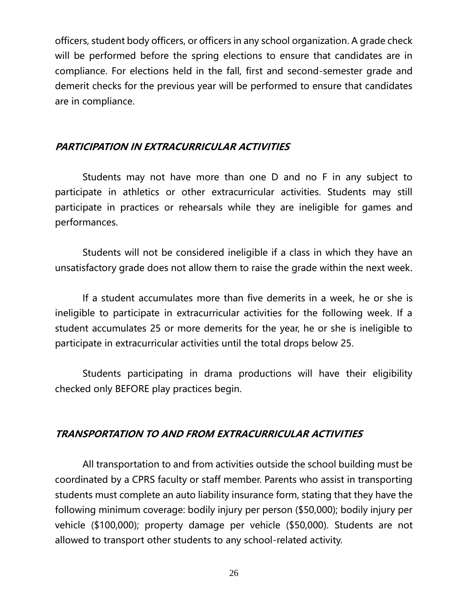officers, student body officers, or officers in any school organization. A grade check will be performed before the spring elections to ensure that candidates are in compliance. For elections held in the fall, first and second-semester grade and demerit checks for the previous year will be performed to ensure that candidates are in compliance.

#### **PARTICIPATION IN EXTRACURRICULAR ACTIVITIES**

Students may not have more than one D and no F in any subject to participate in athletics or other extracurricular activities. Students may still participate in practices or rehearsals while they are ineligible for games and performances.

Students will not be considered ineligible if a class in which they have an unsatisfactory grade does not allow them to raise the grade within the next week.

If a student accumulates more than five demerits in a week, he or she is ineligible to participate in extracurricular activities for the following week. If a student accumulates 25 or more demerits for the year, he or she is ineligible to participate in extracurricular activities until the total drops below 25.

Students participating in drama productions will have their eligibility checked only BEFORE play practices begin.

#### **TRANSPORTATION TO AND FROM EXTRACURRICULAR ACTIVITIES**

All transportation to and from activities outside the school building must be coordinated by a CPRS faculty or staff member. Parents who assist in transporting students must complete an auto liability insurance form, stating that they have the following minimum coverage: bodily injury per person (\$50,000); bodily injury per vehicle (\$100,000); property damage per vehicle (\$50,000). Students are not allowed to transport other students to any school-related activity.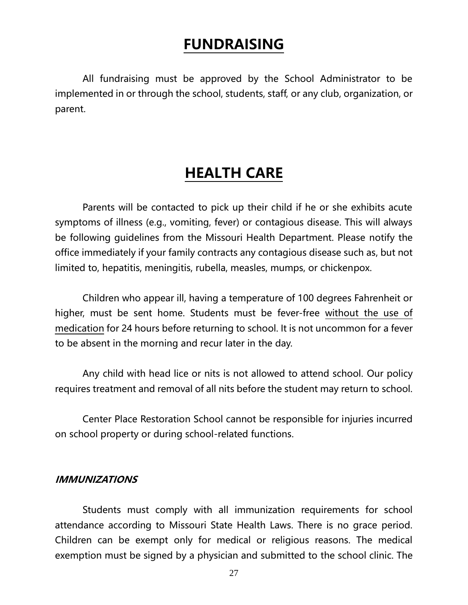### **FUNDRAISING**

All fundraising must be approved by the School Administrator to be implemented in or through the school, students, staff, or any club, organization, or parent.

### **HEALTH CARE**

Parents will be contacted to pick up their child if he or she exhibits acute symptoms of illness (e.g., vomiting, fever) or contagious disease. This will always be following guidelines from the Missouri Health Department. Please notify the office immediately if your family contracts any contagious disease such as, but not limited to, hepatitis, meningitis, rubella, measles, mumps, or chickenpox.

Children who appear ill, having a temperature of 100 degrees Fahrenheit or higher, must be sent home. Students must be fever-free without the use of medication for 24 hours before returning to school. It is not uncommon for a fever to be absent in the morning and recur later in the day.

Any child with head lice or nits is not allowed to attend school. Our policy requires treatment and removal of all nits before the student may return to school.

Center Place Restoration School cannot be responsible for injuries incurred on school property or during school-related functions.

#### **IMMUNIZATIONS**

Students must comply with all immunization requirements for school attendance according to Missouri State Health Laws. There is no grace period. Children can be exempt only for medical or religious reasons. The medical exemption must be signed by a physician and submitted to the school clinic. The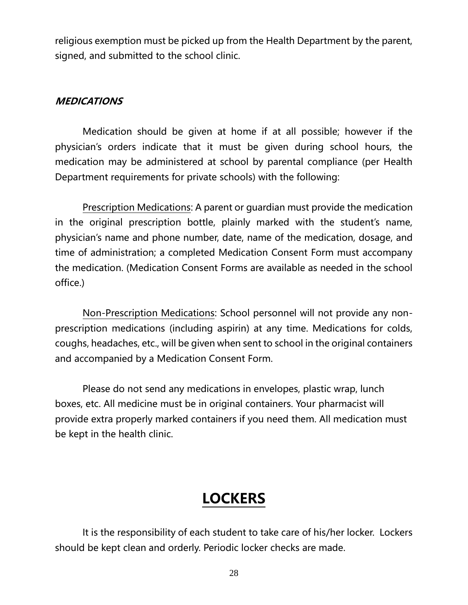religious exemption must be picked up from the Health Department by the parent, signed, and submitted to the school clinic.

#### **MEDICATIONS**

Medication should be given at home if at all possible; however if the physician's orders indicate that it must be given during school hours, the medication may be administered at school by parental compliance (per Health Department requirements for private schools) with the following:

Prescription Medications: A parent or guardian must provide the medication in the original prescription bottle, plainly marked with the student's name, physician's name and phone number, date, name of the medication, dosage, and time of administration; a completed Medication Consent Form must accompany the medication. (Medication Consent Forms are available as needed in the school office.)

Non-Prescription Medications: School personnel will not provide any nonprescription medications (including aspirin) at any time. Medications for colds, coughs, headaches, etc., will be given when sent to school in the original containers and accompanied by a Medication Consent Form.

Please do not send any medications in envelopes, plastic wrap, lunch boxes, etc. All medicine must be in original containers. Your pharmacist will provide extra properly marked containers if you need them. All medication must be kept in the health clinic.

### **LOCKERS**

It is the responsibility of each student to take care of his/her locker. Lockers should be kept clean and orderly. Periodic locker checks are made.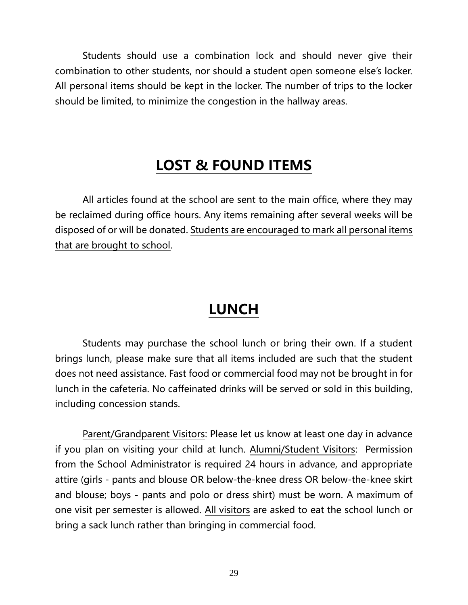Students should use a combination lock and should never give their combination to other students, nor should a student open someone else's locker. All personal items should be kept in the locker. The number of trips to the locker should be limited, to minimize the congestion in the hallway areas.

### **LOST & FOUND ITEMS**

<span id="page-28-0"></span>All articles found at the school are sent to the main office, where they may be reclaimed during office hours. Any items remaining after several weeks will be disposed of or will be donated. Students are encouraged to mark all personal items that are brought to school.

### **LUNCH**

Students may purchase the school lunch or bring their own. If a student brings lunch, please make sure that all items included are such that the student does not need assistance. Fast food or commercial food may not be brought in for lunch in the cafeteria. No caffeinated drinks will be served or sold in this building, including concession stands.

Parent/Grandparent Visitors: Please let us know at least one day in advance if you plan on visiting your child at lunch. Alumni/Student Visitors: Permission from the School Administrator is required 24 hours in advance, and appropriate attire (girls - pants and blouse OR below-the-knee dress OR below-the-knee skirt and blouse; boys - pants and polo or dress shirt) must be worn. A maximum of one visit per semester is allowed. All visitors are asked to eat the school lunch or bring a sack lunch rather than bringing in commercial food.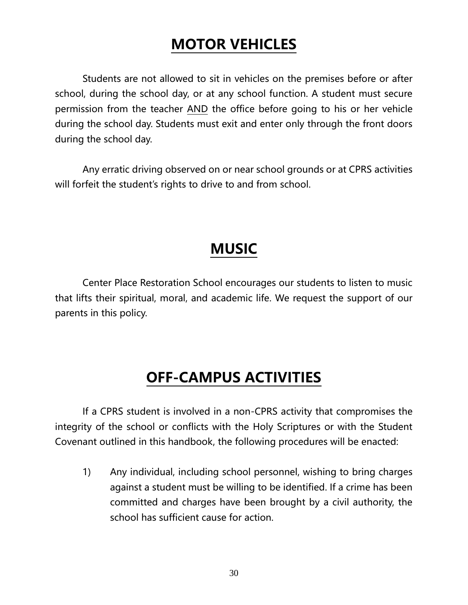### **MOTOR VEHICLES**

Students are not allowed to sit in vehicles on the premises before or after school, during the school day, or at any school function. A student must secure permission from the teacher AND the office before going to his or her vehicle during the school day. Students must exit and enter only through the front doors during the school day.

Any erratic driving observed on or near school grounds or at CPRS activities will forfeit the student's rights to drive to and from school.

### **MUSIC**

Center Place Restoration School encourages our students to listen to music that lifts their spiritual, moral, and academic life. We request the support of our parents in this policy.

### **OFF-CAMPUS ACTIVITIES**

If a CPRS student is involved in a non-CPRS activity that compromises the integrity of the school or conflicts with the Holy Scriptures or with the Student Covenant outlined in this handbook, the following procedures will be enacted:

1) Any individual, including school personnel, wishing to bring charges against a student must be willing to be identified. If a crime has been committed and charges have been brought by a civil authority, the school has sufficient cause for action.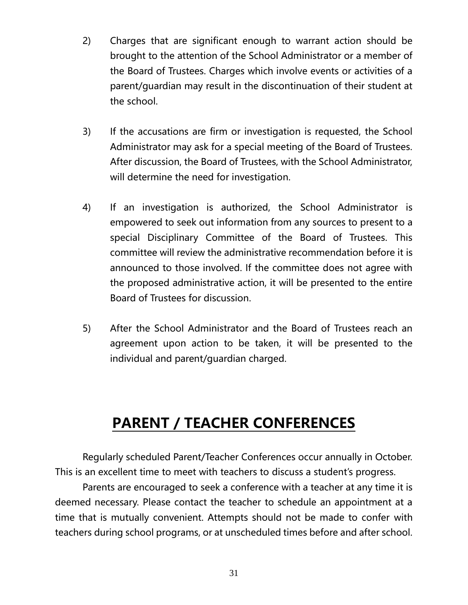- 2) Charges that are significant enough to warrant action should be brought to the attention of the School Administrator or a member of the Board of Trustees. Charges which involve events or activities of a parent/guardian may result in the discontinuation of their student at the school.
- 3) If the accusations are firm or investigation is requested, the School Administrator may ask for a special meeting of the Board of Trustees. After discussion, the Board of Trustees, with the School Administrator, will determine the need for investigation.
- 4) If an investigation is authorized, the School Administrator is empowered to seek out information from any sources to present to a special Disciplinary Committee of the Board of Trustees. This committee will review the administrative recommendation before it is announced to those involved. If the committee does not agree with the proposed administrative action, it will be presented to the entire Board of Trustees for discussion.
- 5) After the School Administrator and the Board of Trustees reach an agreement upon action to be taken, it will be presented to the individual and parent/guardian charged.

### **PARENT / TEACHER CONFERENCES**

Regularly scheduled Parent/Teacher Conferences occur annually in October. This is an excellent time to meet with teachers to discuss a student's progress.

Parents are encouraged to seek a conference with a teacher at any time it is deemed necessary. Please contact the teacher to schedule an appointment at a time that is mutually convenient. Attempts should not be made to confer with teachers during school programs, or at unscheduled times before and after school.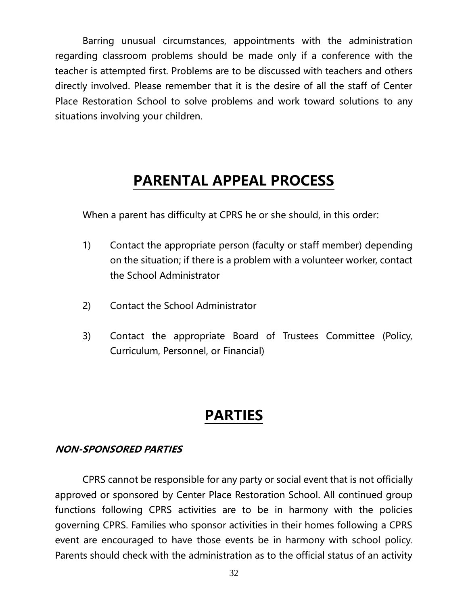Barring unusual circumstances, appointments with the administration regarding classroom problems should be made only if a conference with the teacher is attempted first. Problems are to be discussed with teachers and others directly involved. Please remember that it is the desire of all the staff of Center Place Restoration School to solve problems and work toward solutions to any situations involving your children.

### **PARENTAL APPEAL PROCESS**

When a parent has difficulty at CPRS he or she should, in this order:

- 1) Contact the appropriate person (faculty or staff member) depending on the situation; if there is a problem with a volunteer worker, contact the School Administrator
- 2) Contact the School Administrator
- 3) Contact the appropriate Board of Trustees Committee (Policy, Curriculum, Personnel, or Financial)

### **PARTIES**

#### **NON-SPONSORED PARTIES**

CPRS cannot be responsible for any party or social event that is not officially approved or sponsored by Center Place Restoration School. All continued group functions following CPRS activities are to be in harmony with the policies governing CPRS. Families who sponsor activities in their homes following a CPRS event are encouraged to have those events be in harmony with school policy. Parents should check with the administration as to the official status of an activity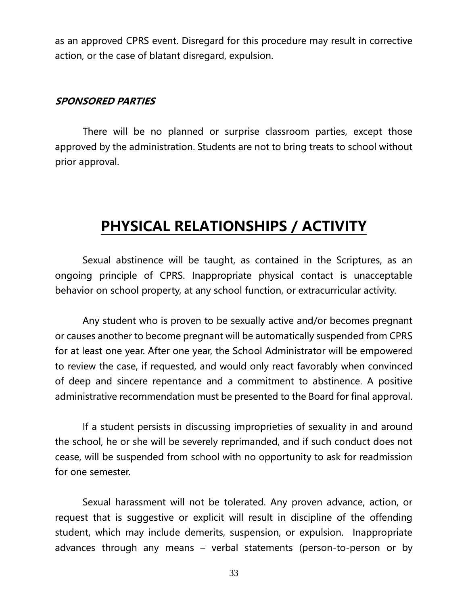as an approved CPRS event. Disregard for this procedure may result in corrective action, or the case of blatant disregard, expulsion.

#### **SPONSORED PARTIES**

There will be no planned or surprise classroom parties, except those approved by the administration. Students are not to bring treats to school without prior approval.

### **PHYSICAL RELATIONSHIPS / ACTIVITY**

Sexual abstinence will be taught, as contained in the Scriptures, as an ongoing principle of CPRS. Inappropriate physical contact is unacceptable behavior on school property, at any school function, or extracurricular activity.

Any student who is proven to be sexually active and/or becomes pregnant or causes another to become pregnant will be automatically suspended from CPRS for at least one year. After one year, the School Administrator will be empowered to review the case, if requested, and would only react favorably when convinced of deep and sincere repentance and a commitment to abstinence. A positive administrative recommendation must be presented to the Board for final approval.

If a student persists in discussing improprieties of sexuality in and around the school, he or she will be severely reprimanded, and if such conduct does not cease, will be suspended from school with no opportunity to ask for readmission for one semester.

Sexual harassment will not be tolerated. Any proven advance, action, or request that is suggestive or explicit will result in discipline of the offending student, which may include demerits, suspension, or expulsion. Inappropriate advances through any means – verbal statements (person-to-person or by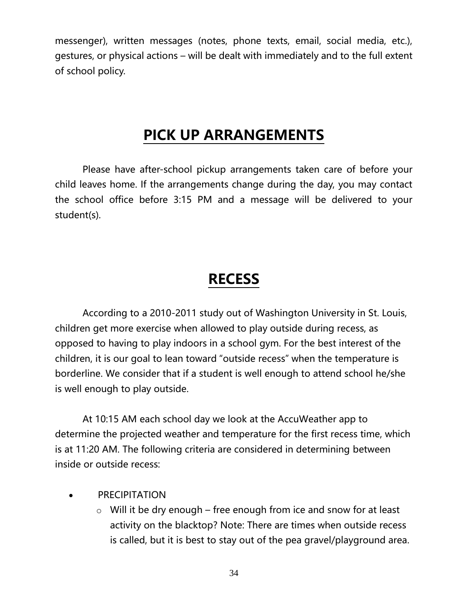messenger), written messages (notes, phone texts, email, social media, etc.), gestures, or physical actions – will be dealt with immediately and to the full extent of school policy.

### **PICK UP ARRANGEMENTS**

Please have after-school pickup arrangements taken care of before your child leaves home. If the arrangements change during the day, you may contact the school office before 3:15 PM and a message will be delivered to your student(s).

### **RECESS**

According to a 2010-2011 study out of Washington University in St. Louis, children get more exercise when allowed to play outside during recess, as opposed to having to play indoors in a school gym. For the best interest of the children, it is our goal to lean toward "outside recess" when the temperature is borderline. We consider that if a student is well enough to attend school he/she is well enough to play outside.

At 10:15 AM each school day we look at the AccuWeather app to determine the projected weather and temperature for the first recess time, which is at 11:20 AM. The following criteria are considered in determining between inside or outside recess:

- **PRECIPITATION** 
	- $\circ$  Will it be dry enough free enough from ice and snow for at least activity on the blacktop? Note: There are times when outside recess is called, but it is best to stay out of the pea gravel/playground area.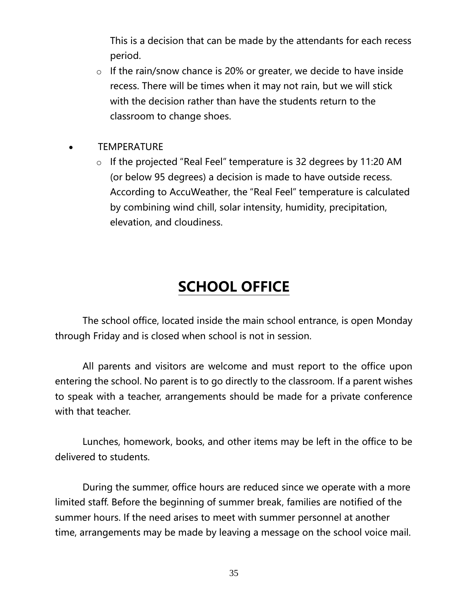This is a decision that can be made by the attendants for each recess period.

- $\circ$  If the rain/snow chance is 20% or greater, we decide to have inside recess. There will be times when it may not rain, but we will stick with the decision rather than have the students return to the classroom to change shoes.
- **TEMPERATURE** 
	- o If the projected "Real Feel" temperature is 32 degrees by 11:20 AM (or below 95 degrees) a decision is made to have outside recess. According to AccuWeather, the "Real Feel" temperature is calculated by combining wind chill, solar intensity, humidity, precipitation, elevation, and cloudiness.

### **SCHOOL OFFICE**

The school office, located inside the main school entrance, is open Monday through Friday and is closed when school is not in session.

All parents and visitors are welcome and must report to the office upon entering the school. No parent is to go directly to the classroom. If a parent wishes to speak with a teacher, arrangements should be made for a private conference with that teacher.

Lunches, homework, books, and other items may be left in the office to be delivered to students.

During the summer, office hours are reduced since we operate with a more limited staff. Before the beginning of summer break, families are notified of the summer hours. If the need arises to meet with summer personnel at another time, arrangements may be made by leaving a message on the school voice mail.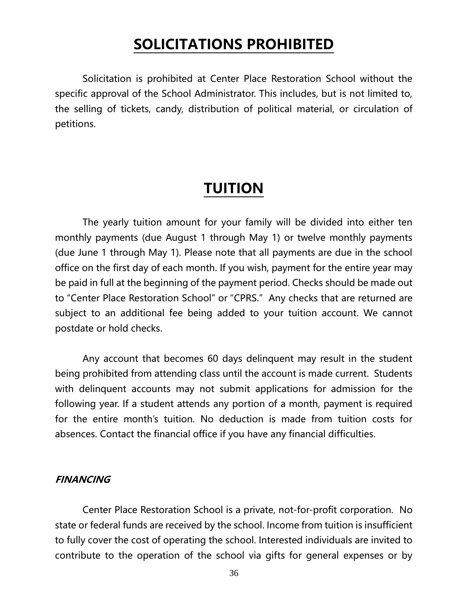### **SOLICITATIONS PROHIBITED**

Solicitation is prohibited at Center Place Restoration School without the specific approval of the School Administrator. This includes, but is not limited to, the selling of tickets, candy, distribution of political material, or circulation of petitions.

### **TUITION**

The yearly tuition amount for your family will be divided into either ten monthly payments (due August 1 through May 1) or twelve monthly payments (due June 1 through May 1). Please note that all payments are due in the school office on the first day of each month. If you wish, payment for the entire year may be paid in full at the beginning of the payment period. Checks should be made out to "Center Place Restoration School" or "CPRS." Any checks that are returned are subject to an additional fee being added to your tuition account. We cannot postdate or hold checks.

Any account that becomes 60 days delinquent may result in the student being prohibited from attending class until the account is made current. Students with delinquent accounts may not submit applications for admission for the following year. If a student attends any portion of a month, payment is required for the entire month's tuition. No deduction is made from tuition costs for absences. Contact the financial office if you have any financial difficulties.

#### **FINANCING**

Center Place Restoration School is a private, not-for-profit corporation. No state or federal funds are received by the school. Income from tuition is insufficient to fully cover the cost of operating the school. Interested individuals are invited to contribute to the operation of the school via gifts for general expenses or by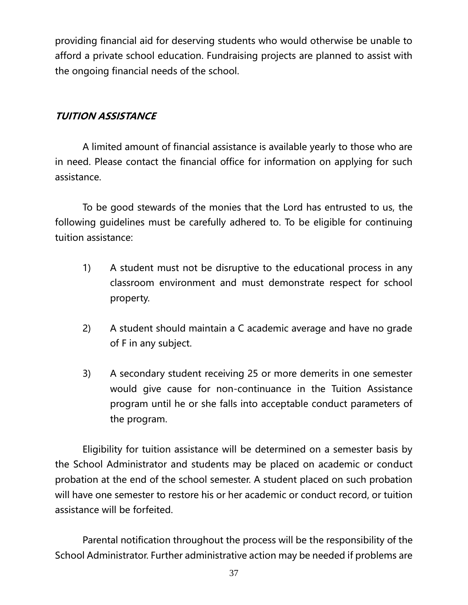providing financial aid for deserving students who would otherwise be unable to afford a private school education. Fundraising projects are planned to assist with the ongoing financial needs of the school.

#### **TUITION ASSISTANCE**

A limited amount of financial assistance is available yearly to those who are in need. Please contact the financial office for information on applying for such assistance.

To be good stewards of the monies that the Lord has entrusted to us, the following guidelines must be carefully adhered to. To be eligible for continuing tuition assistance:

- 1) A student must not be disruptive to the educational process in any classroom environment and must demonstrate respect for school property.
- 2) A student should maintain a C academic average and have no grade of F in any subject.
- 3) A secondary student receiving 25 or more demerits in one semester would give cause for non-continuance in the Tuition Assistance program until he or she falls into acceptable conduct parameters of the program.

Eligibility for tuition assistance will be determined on a semester basis by the School Administrator and students may be placed on academic or conduct probation at the end of the school semester. A student placed on such probation will have one semester to restore his or her academic or conduct record, or tuition assistance will be forfeited.

Parental notification throughout the process will be the responsibility of the School Administrator. Further administrative action may be needed if problems are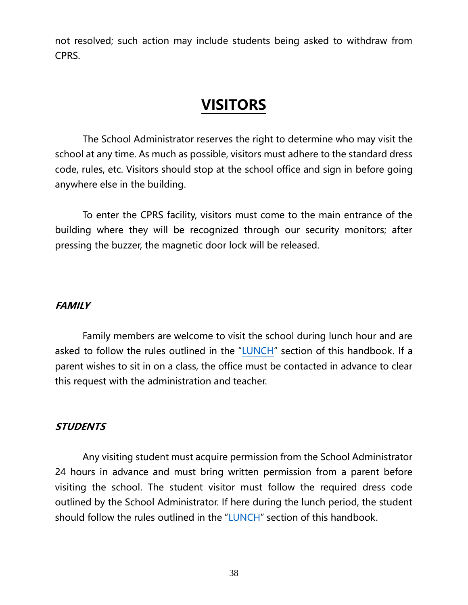not resolved; such action may include students being asked to withdraw from CPRS.

### **VISITORS**

The School Administrator reserves the right to determine who may visit the school at any time. As much as possible, visitors must adhere to the standard dress code, rules, etc. Visitors should stop at the school office and sign in before going anywhere else in the building.

To enter the CPRS facility, visitors must come to the main entrance of the building where they will be recognized through our security monitors; after pressing the buzzer, the magnetic door lock will be released.

#### **FAMILY**

Family members are welcome to visit the school during lunch hour and are asked to follow the rules outlined in the "[LUNCH](#page-28-0)" section of this handbook. If a parent wishes to sit in on a class, the office must be contacted in advance to clear this request with the administration and teacher.

#### **STUDENTS**

Any visiting student must acquire permission from the School Administrator 24 hours in advance and must bring written permission from a parent before visiting the school. The student visitor must follow the required dress code outlined by the School Administrator. If here during the lunch period, the student should follow the rules outlined in the "[LUNCH](#page-28-0)" section of this handbook.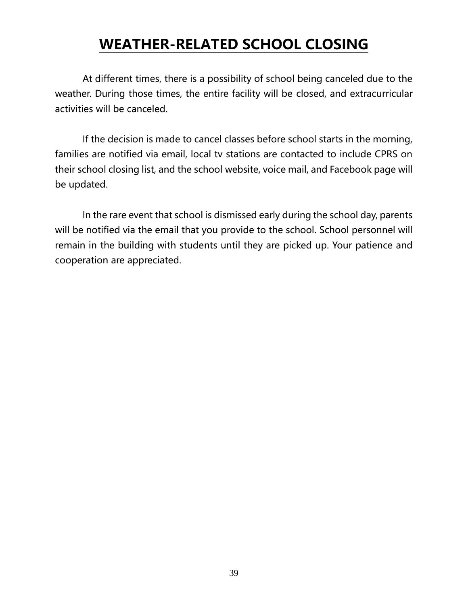### **WEATHER-RELATED SCHOOL CLOSING**

At different times, there is a possibility of school being canceled due to the weather. During those times, the entire facility will be closed, and extracurricular activities will be canceled.

If the decision is made to cancel classes before school starts in the morning, families are notified via email, local tv stations are contacted to include CPRS on their school closing list, and the school website, voice mail, and Facebook page will be updated.

<span id="page-38-0"></span>In the rare event that school is dismissed early during the school day, parents will be notified via the email that you provide to the school. School personnel will remain in the building with students until they are picked up. Your patience and cooperation are appreciated.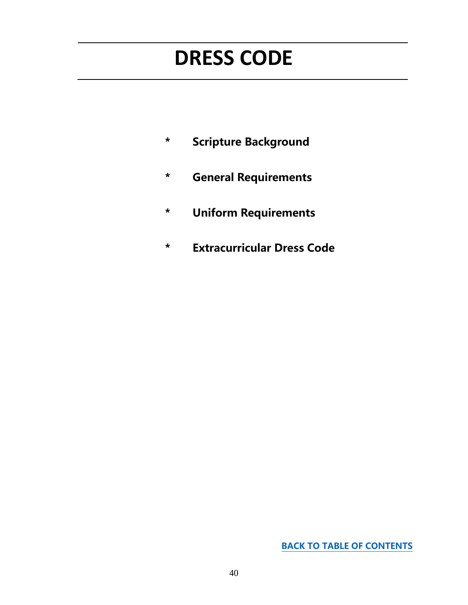# **DRESS CODE**

- **\* Scripture Background**
- **\* General Requirements**
- **\* Uniform Requirements**
- **\* Extracurricular Dress Code**

**[BACK TO TABLE OF CONTENTS](#page-0-0)**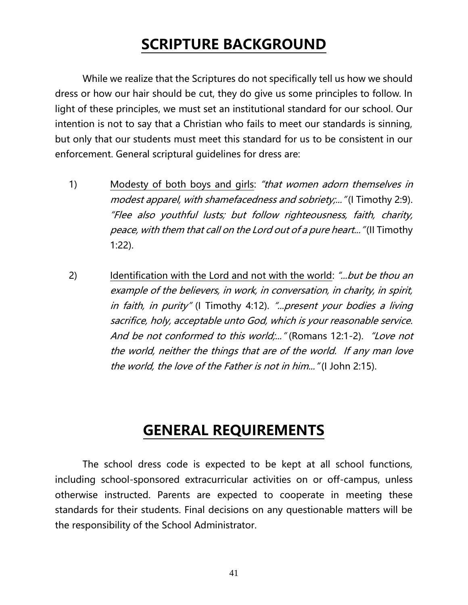### **SCRIPTURE BACKGROUND**

While we realize that the Scriptures do not specifically tell us how we should dress or how our hair should be cut, they do give us some principles to follow. In light of these principles, we must set an institutional standard for our school. Our intention is not to say that a Christian who fails to meet our standards is sinning, but only that our students must meet this standard for us to be consistent in our enforcement. General scriptural guidelines for dress are:

- 1) Modesty of both boys and girls: "that women adorn themselves in modest apparel, with shamefacedness and sobriety;..." (I Timothy 2:9). "Flee also youthful lusts; but follow righteousness, faith, charity, peace, with them that call on the Lord out of a pure heart..." (II Timothy 1:22).
- 2) Identification with the Lord and not with the world: *"...but be thou an* example of the believers, in work, in conversation, in charity, in spirit, in faith, in purity" (I Timothy 4:12). "...present your bodies a living sacrifice, holy, acceptable unto God, which is your reasonable service. And be not conformed to this world;..." (Romans 12:1-2). "Love not the world, neither the things that are of the world. If any man love the world, the love of the Father is not in him..." (I John 2:15).

### **GENERAL REQUIREMENTS**

The school dress code is expected to be kept at all school functions, including school-sponsored extracurricular activities on or off-campus, unless otherwise instructed. Parents are expected to cooperate in meeting these standards for their students. Final decisions on any questionable matters will be the responsibility of the School Administrator.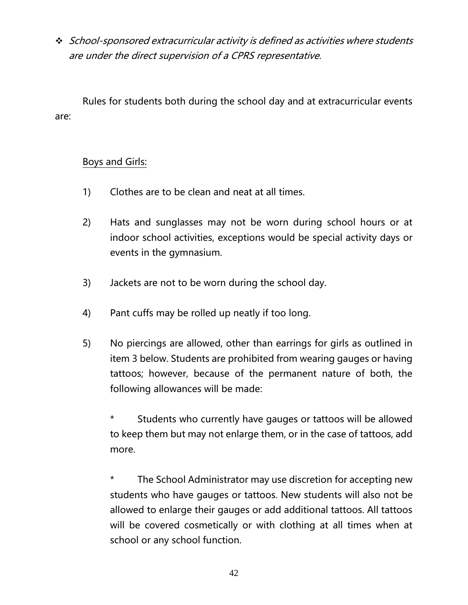❖ School-sponsored extracurricular activity is defined as activities where students are under the direct supervision of a CPRS representative.

Rules for students both during the school day and at extracurricular events are:

#### Boys and Girls:

- 1) Clothes are to be clean and neat at all times.
- 2) Hats and sunglasses may not be worn during school hours or at indoor school activities, exceptions would be special activity days or events in the gymnasium.
- 3) Jackets are not to be worn during the school day.
- 4) Pant cuffs may be rolled up neatly if too long.
- 5) No piercings are allowed, other than earrings for girls as outlined in item 3 below. Students are prohibited from wearing gauges or having tattoos; however, because of the permanent nature of both, the following allowances will be made:

Students who currently have gauges or tattoos will be allowed to keep them but may not enlarge them, or in the case of tattoos, add more.

\* The School Administrator may use discretion for accepting new students who have gauges or tattoos. New students will also not be allowed to enlarge their gauges or add additional tattoos. All tattoos will be covered cosmetically or with clothing at all times when at school or any school function.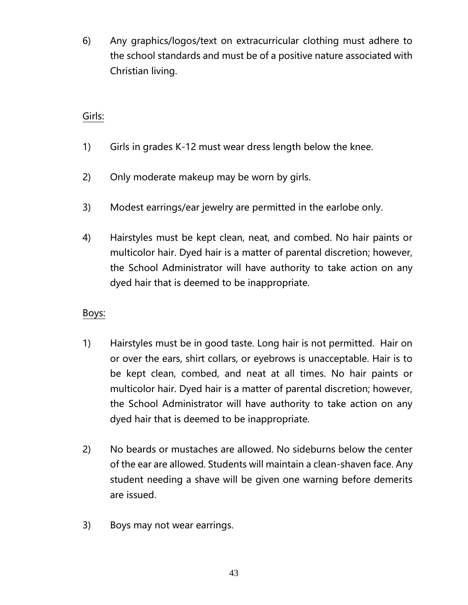6) Any graphics/logos/text on extracurricular clothing must adhere to the school standards and must be of a positive nature associated with Christian living.

#### Girls:

- 1) Girls in grades K-12 must wear dress length below the knee.
- 2) Only moderate makeup may be worn by girls.
- 3) Modest earrings/ear jewelry are permitted in the earlobe only.
- 4) Hairstyles must be kept clean, neat, and combed. No hair paints or multicolor hair. Dyed hair is a matter of parental discretion; however, the School Administrator will have authority to take action on any dyed hair that is deemed to be inappropriate.

#### Boys:

- 1) Hairstyles must be in good taste. Long hair is not permitted. Hair on or over the ears, shirt collars, or eyebrows is unacceptable. Hair is to be kept clean, combed, and neat at all times. No hair paints or multicolor hair. Dyed hair is a matter of parental discretion; however, the School Administrator will have authority to take action on any dyed hair that is deemed to be inappropriate.
- 2) No beards or mustaches are allowed. No sideburns below the center of the ear are allowed. Students will maintain a clean-shaven face. Any student needing a shave will be given one warning before demerits are issued.
- 3) Boys may not wear earrings.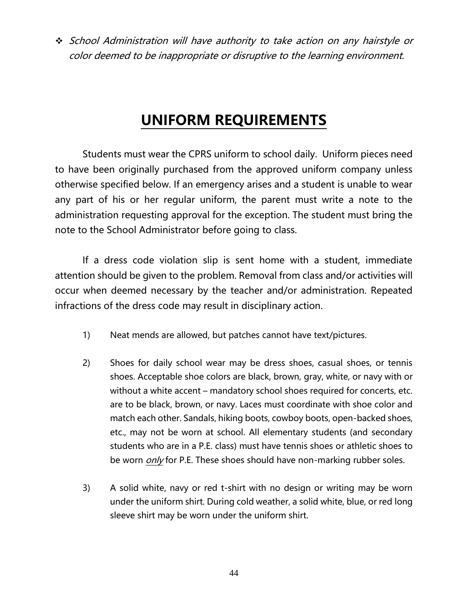❖ School Administration will have authority to take action on any hairstyle or color deemed to be inappropriate or disruptive to the learning environment.

### **UNIFORM REQUIREMENTS**

Students must wear the CPRS uniform to school daily. Uniform pieces need to have been originally purchased from the approved uniform company unless otherwise specified below. If an emergency arises and a student is unable to wear any part of his or her regular uniform, the parent must write a note to the administration requesting approval for the exception. The student must bring the note to the School Administrator before going to class.

If a dress code violation slip is sent home with a student, immediate attention should be given to the problem. Removal from class and/or activities will occur when deemed necessary by the teacher and/or administration. Repeated infractions of the dress code may result in disciplinary action.

- 1) Neat mends are allowed, but patches cannot have text/pictures.
- 2) Shoes for daily school wear may be dress shoes, casual shoes, or tennis shoes. Acceptable shoe colors are black, brown, gray, white, or navy with or without a white accent – mandatory school shoes required for concerts, etc. are to be black, brown, or navy. Laces must coordinate with shoe color and match each other. Sandals, hiking boots, cowboy boots, open-backed shoes, etc., may not be worn at school. All elementary students (and secondary students who are in a P.E. class) must have tennis shoes or athletic shoes to be worn *only* for P.E. These shoes should have non-marking rubber soles.
- 3) A solid white, navy or red t-shirt with no design or writing may be worn under the uniform shirt. During cold weather, a solid white, blue, or red long sleeve shirt may be worn under the uniform shirt.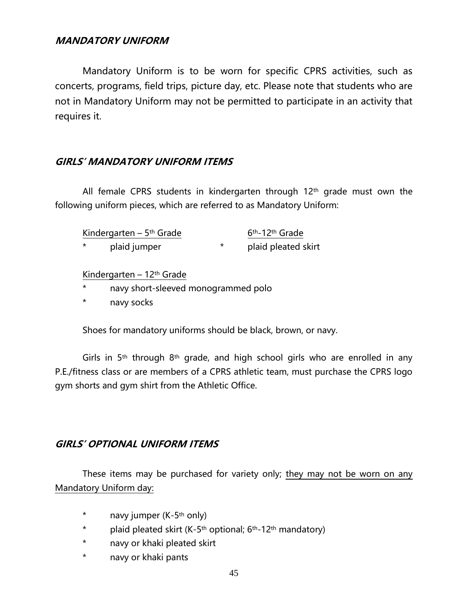#### **MANDATORY UNIFORM**

Mandatory Uniform is to be worn for specific CPRS activities, such as concerts, programs, field trips, picture day, etc. Please note that students who are not in Mandatory Uniform may not be permitted to participate in an activity that requires it.

#### **GIRLS' MANDATORY UNIFORM ITEMS**

All female CPRS students in kindergarten through  $12<sup>th</sup>$  grade must own the following uniform pieces, which are referred to as Mandatory Uniform:

| Kindergarten – 5 <sup>th</sup> Grade |              | 6 <sup>th</sup> -12 <sup>th</sup> Grade |                     |
|--------------------------------------|--------------|-----------------------------------------|---------------------|
| $\star$                              | plaid jumper |                                         | plaid pleated skirt |

#### Kindergarten – 12th Grade

- \* navy short-sleeved monogrammed polo
- \* navy socks

Shoes for mandatory uniforms should be black, brown, or navy.

Girls in  $5<sup>th</sup>$  through  $8<sup>th</sup>$  grade, and high school girls who are enrolled in any P.E./fitness class or are members of a CPRS athletic team, must purchase the CPRS logo gym shorts and gym shirt from the Athletic Office.

#### **GIRLS' OPTIONAL UNIFORM ITEMS**

These items may be purchased for variety only; they may not be worn on any Mandatory Uniform day:

- \* navy jumper (K-5th only)
- \* plaid pleated skirt  $(K-5<sup>th</sup>$  optional;  $6<sup>th</sup>-12<sup>th</sup>$  mandatory)
- \* navy or khaki pleated skirt
- \* navy or khaki pants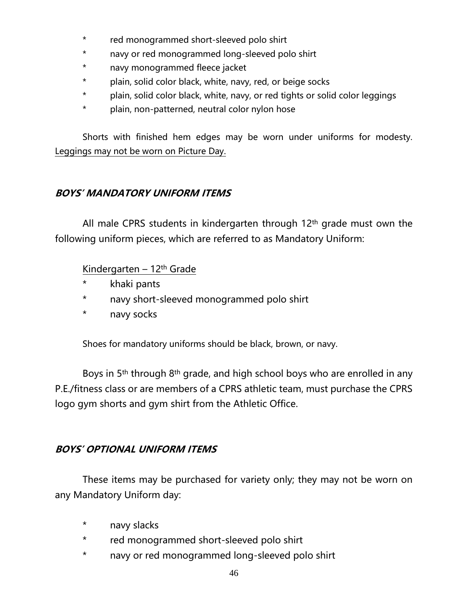- \* red monogrammed short-sleeved polo shirt
- \* navy or red monogrammed long-sleeved polo shirt
- \* navy monogrammed fleece jacket
- \* plain, solid color black, white, navy, red, or beige socks
- \* plain, solid color black, white, navy, or red tights or solid color leggings
- \* plain, non-patterned, neutral color nylon hose

Shorts with finished hem edges may be worn under uniforms for modesty. Leggings may not be worn on Picture Day.

#### **BOYS' MANDATORY UNIFORM ITEMS**

All male CPRS students in kindergarten through 12<sup>th</sup> grade must own the following uniform pieces, which are referred to as Mandatory Uniform:

#### Kindergarten – 12th Grade

- \* khaki pants
- \* navy short-sleeved monogrammed polo shirt
- \* navy socks

Shoes for mandatory uniforms should be black, brown, or navy.

Boys in 5<sup>th</sup> through 8<sup>th</sup> grade, and high school boys who are enrolled in any P.E./fitness class or are members of a CPRS athletic team, must purchase the CPRS logo gym shorts and gym shirt from the Athletic Office.

#### **BOYS' OPTIONAL UNIFORM ITEMS**

These items may be purchased for variety only; they may not be worn on any Mandatory Uniform day:

- \* navy slacks
- \* red monogrammed short-sleeved polo shirt
- \* navy or red monogrammed long-sleeved polo shirt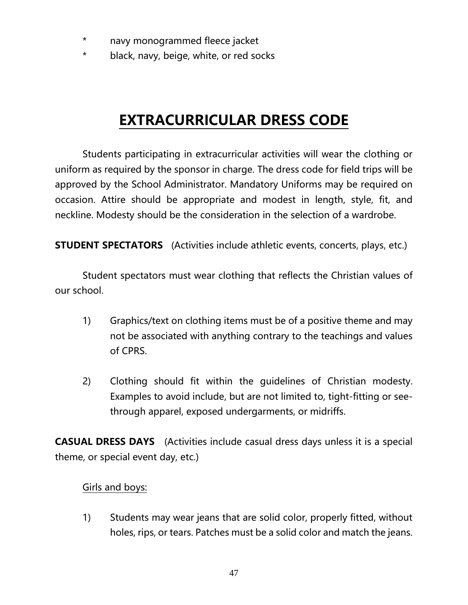- \* navy monogrammed fleece jacket
- \* black, navy, beige, white, or red socks

### **EXTRACURRICULAR DRESS CODE**

Students participating in extracurricular activities will wear the clothing or uniform as required by the sponsor in charge. The dress code for field trips will be approved by the School Administrator. Mandatory Uniforms may be required on occasion. Attire should be appropriate and modest in length, style, fit, and neckline. Modesty should be the consideration in the selection of a wardrobe.

**STUDENT SPECTATORS** (Activities include athletic events, concerts, plays, etc.)

Student spectators must wear clothing that reflects the Christian values of our school.

- 1) Graphics/text on clothing items must be of a positive theme and may not be associated with anything contrary to the teachings and values of CPRS.
- 2) Clothing should fit within the guidelines of Christian modesty. Examples to avoid include, but are not limited to, tight-fitting or seethrough apparel, exposed undergarments, or midriffs.

**CASUAL DRESS DAYS** (Activities include casual dress days unless it is a special theme, or special event day, etc.)

#### Girls and boys:

1) Students may wear jeans that are solid color, properly fitted, without holes, rips, or tears. Patches must be a solid color and match the jeans.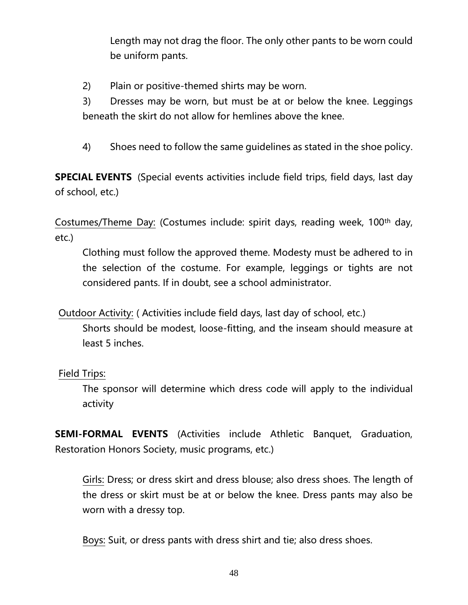Length may not drag the floor. The only other pants to be worn could be uniform pants.

2) Plain or positive-themed shirts may be worn.

3) Dresses may be worn, but must be at or below the knee. Leggings beneath the skirt do not allow for hemlines above the knee.

4) Shoes need to follow the same guidelines as stated in the shoe policy.

**SPECIAL EVENTS** (Special events activities include field trips, field days, last day of school, etc.)

Costumes/Theme Day: (Costumes include: spirit days, reading week, 100th day, etc.)

Clothing must follow the approved theme. Modesty must be adhered to in the selection of the costume. For example, leggings or tights are not considered pants. If in doubt, see a school administrator.

Outdoor Activity: ( Activities include field days, last day of school, etc.) Shorts should be modest, loose-fitting, and the inseam should measure at least 5 inches.

#### Field Trips:

The sponsor will determine which dress code will apply to the individual activity

**SEMI-FORMAL EVENTS** (Activities include Athletic Banquet, Graduation, Restoration Honors Society, music programs, etc.)

Girls: Dress; or dress skirt and dress blouse; also dress shoes. The length of the dress or skirt must be at or below the knee. Dress pants may also be worn with a dressy top.

Boys: Suit, or dress pants with dress shirt and tie; also dress shoes.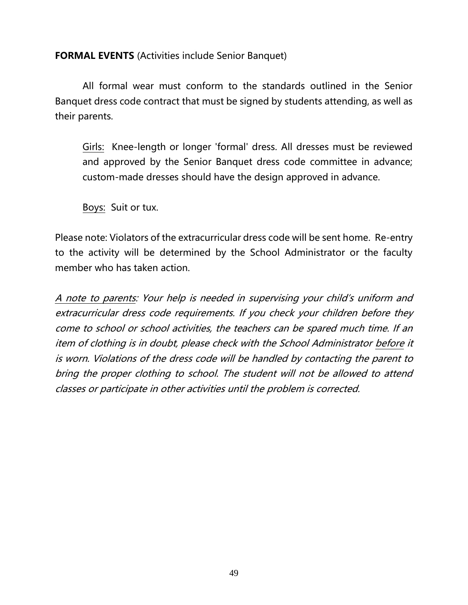#### **FORMAL EVENTS** (Activities include Senior Banquet)

All formal wear must conform to the standards outlined in the Senior Banquet dress code contract that must be signed by students attending, as well as their parents.

Girls: Knee-length or longer 'formal' dress. All dresses must be reviewed and approved by the Senior Banquet dress code committee in advance; custom-made dresses should have the design approved in advance.

Boys: Suit or tux.

Please note: Violators of the extracurricular dress code will be sent home. Re-entry to the activity will be determined by the School Administrator or the faculty member who has taken action.

<span id="page-48-0"></span>A note to parents: Your help is needed in supervising your child's uniform and extracurricular dress code requirements. If you check your children before they come to school or school activities, the teachers can be spared much time. If an item of clothing is in doubt, please check with the School Administrator before it is worn. Violations of the dress code will be handled by contacting the parent to bring the proper clothing to school. The student will not be allowed to attend classes or participate in other activities until the problem is corrected.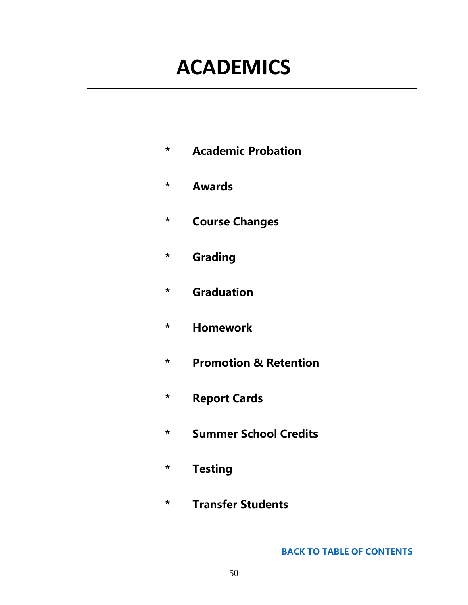# **ACADEMICS**

- **\* Academic Probation**
- **\* Awards**
- **\* Course Changes**
- **\* Grading**
- **\* Graduation**
- **\* Homework**
- **\* Promotion & Retention**
- **\* Report Cards**
- **\* Summer School Credits**
- **\* Testing**
- **\* Transfer Students**

**[BACK TO TABLE OF CONTENTS](#page-0-0)**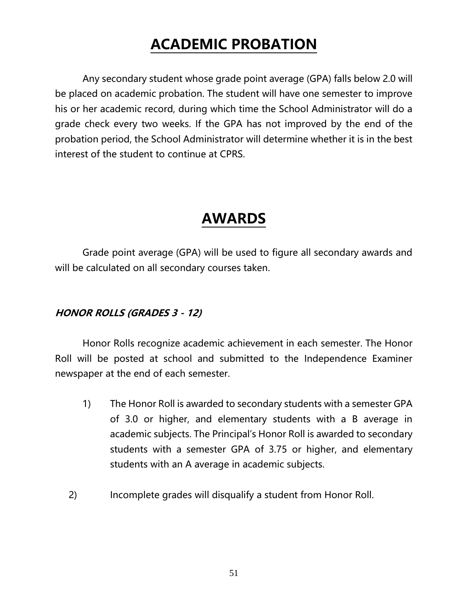### **ACADEMIC PROBATION**

Any secondary student whose grade point average (GPA) falls below 2.0 will be placed on academic probation. The student will have one semester to improve his or her academic record, during which time the School Administrator will do a grade check every two weeks. If the GPA has not improved by the end of the probation period, the School Administrator will determine whether it is in the best interest of the student to continue at CPRS.

### **AWARDS**

Grade point average (GPA) will be used to figure all secondary awards and will be calculated on all secondary courses taken.

#### **HONOR ROLLS (GRADES 3 - 12)**

Honor Rolls recognize academic achievement in each semester. The Honor Roll will be posted at school and submitted to the Independence Examiner newspaper at the end of each semester.

- 1) The Honor Roll is awarded to secondary students with a semester GPA of 3.0 or higher, and elementary students with a B average in academic subjects. The Principal's Honor Roll is awarded to secondary students with a semester GPA of 3.75 or higher, and elementary students with an A average in academic subjects.
- 2) Incomplete grades will disqualify a student from Honor Roll.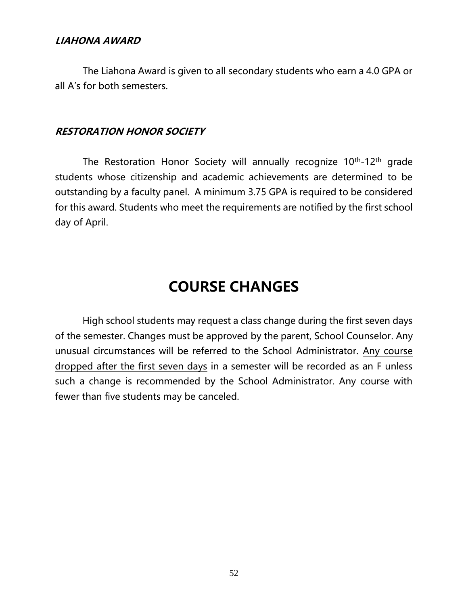#### **LIAHONA AWARD**

The Liahona Award is given to all secondary students who earn a 4.0 GPA or all A's for both semesters.

#### **RESTORATION HONOR SOCIETY**

The Restoration Honor Society will annually recognize 10<sup>th</sup>-12<sup>th</sup> grade students whose citizenship and academic achievements are determined to be outstanding by a faculty panel. A minimum 3.75 GPA is required to be considered for this award. Students who meet the requirements are notified by the first school day of April.

### **COURSE CHANGES**

High school students may request a class change during the first seven days of the semester. Changes must be approved by the parent, School Counselor. Any unusual circumstances will be referred to the School Administrator. Any course dropped after the first seven days in a semester will be recorded as an F unless such a change is recommended by the School Administrator. Any course with fewer than five students may be canceled.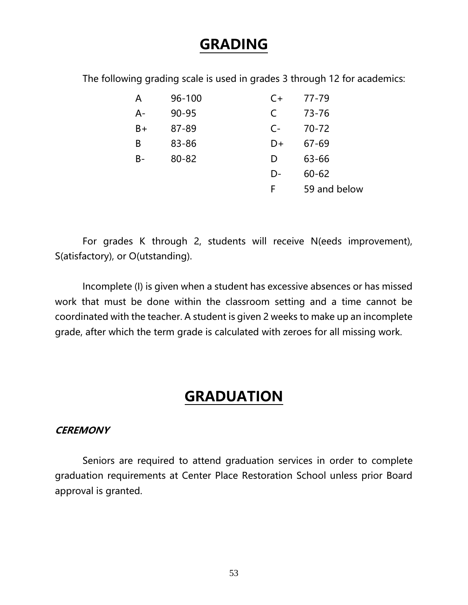### **GRADING**

The following grading scale is used in grades 3 through 12 for academics:

| A     | 96-100    | $C+$      | 77-79        |
|-------|-----------|-----------|--------------|
| $A -$ | $90 - 95$ | $\subset$ | 73-76        |
| $B+$  | 87-89     | $C-$      | $70 - 72$    |
| B     | 83-86     | D+        | $67 - 69$    |
| $B -$ | 80-82     | D         | 63-66        |
|       |           | D-        | $60 - 62$    |
|       |           | F         | 59 and below |

For grades K through 2, students will receive N(eeds improvement), S(atisfactory), or O(utstanding).

Incomplete (I) is given when a student has excessive absences or has missed work that must be done within the classroom setting and a time cannot be coordinated with the teacher. A student is given 2 weeks to make up an incomplete grade, after which the term grade is calculated with zeroes for all missing work.

### **GRADUATION**

#### **CEREMONY**

Seniors are required to attend graduation services in order to complete graduation requirements at Center Place Restoration School unless prior Board approval is granted.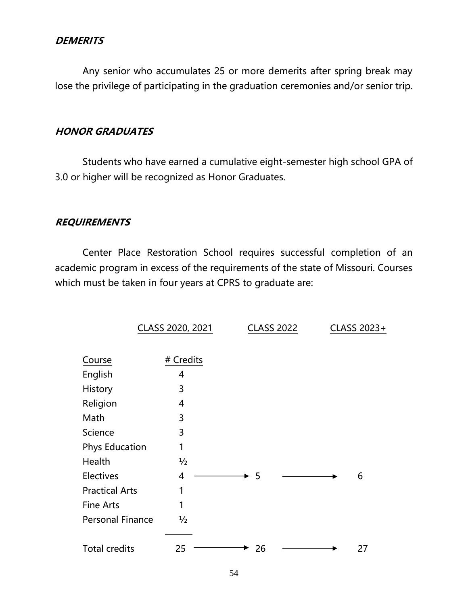#### **DEMERITS**

Any senior who accumulates 25 or more demerits after spring break may lose the privilege of participating in the graduation ceremonies and/or senior trip.

#### **HONOR GRADUATES**

Students who have earned a cumulative eight-semester high school GPA of 3.0 or higher will be recognized as Honor Graduates.

#### **REQUIREMENTS**

Center Place Restoration School requires successful completion of an academic program in excess of the requirements of the state of Missouri. Courses which must be taken in four years at CPRS to graduate are:

|                         | CLASS 2020, 2021 | <b>CLASS 2022</b> |  | CLASS 2023+ |
|-------------------------|------------------|-------------------|--|-------------|
|                         |                  |                   |  |             |
| Course                  | # Credits        |                   |  |             |
| English                 | 4                |                   |  |             |
| History                 | 3                |                   |  |             |
| Religion                | 4                |                   |  |             |
| Math                    | 3                |                   |  |             |
| Science                 | 3                |                   |  |             |
| <b>Phys Education</b>   | 1                |                   |  |             |
| Health                  | $\frac{1}{2}$    |                   |  |             |
| <b>Electives</b>        | 4                | -5                |  | 6           |
| <b>Practical Arts</b>   | 1                |                   |  |             |
| <b>Fine Arts</b>        | 1                |                   |  |             |
| <b>Personal Finance</b> | $\frac{1}{2}$    |                   |  |             |
|                         |                  |                   |  |             |
| <b>Total credits</b>    | 25               | 26                |  | 27          |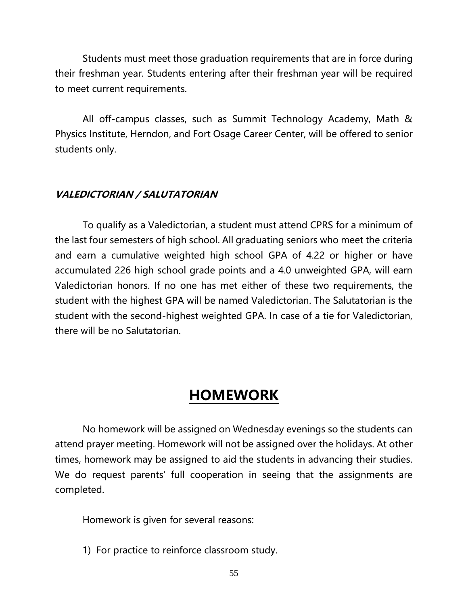Students must meet those graduation requirements that are in force during their freshman year. Students entering after their freshman year will be required to meet current requirements.

All off-campus classes, such as Summit Technology Academy, Math & Physics Institute, Herndon, and Fort Osage Career Center, will be offered to senior students only.

#### **VALEDICTORIAN / SALUTATORIAN**

To qualify as a Valedictorian, a student must attend CPRS for a minimum of the last four semesters of high school. All graduating seniors who meet the criteria and earn a cumulative weighted high school GPA of 4.22 or higher or have accumulated 226 high school grade points and a 4.0 unweighted GPA, will earn Valedictorian honors. If no one has met either of these two requirements, the student with the highest GPA will be named Valedictorian. The Salutatorian is the student with the second-highest weighted GPA. In case of a tie for Valedictorian, there will be no Salutatorian.

### **HOMEWORK**

No homework will be assigned on Wednesday evenings so the students can attend prayer meeting. Homework will not be assigned over the holidays. At other times, homework may be assigned to aid the students in advancing their studies. We do request parents' full cooperation in seeing that the assignments are completed.

Homework is given for several reasons:

1) For practice to reinforce classroom study.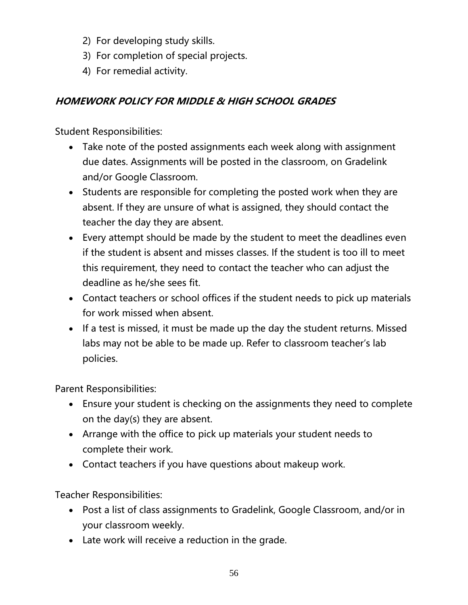- 2) For developing study skills.
- 3) For completion of special projects.
- 4) For remedial activity.

#### **HOMEWORK POLICY FOR MIDDLE & HIGH SCHOOL GRADES**

Student Responsibilities:

- Take note of the posted assignments each week along with assignment due dates. Assignments will be posted in the classroom, on Gradelink and/or Google Classroom.
- Students are responsible for completing the posted work when they are absent. If they are unsure of what is assigned, they should contact the teacher the day they are absent.
- Every attempt should be made by the student to meet the deadlines even if the student is absent and misses classes. If the student is too ill to meet this requirement, they need to contact the teacher who can adjust the deadline as he/she sees fit.
- Contact teachers or school offices if the student needs to pick up materials for work missed when absent.
- If a test is missed, it must be made up the day the student returns. Missed labs may not be able to be made up. Refer to classroom teacher's lab policies.

Parent Responsibilities:

- Ensure your student is checking on the assignments they need to complete on the day(s) they are absent.
- Arrange with the office to pick up materials your student needs to complete their work.
- Contact teachers if you have questions about makeup work.

Teacher Responsibilities:

- Post a list of class assignments to Gradelink, Google Classroom, and/or in your classroom weekly.
- Late work will receive a reduction in the grade.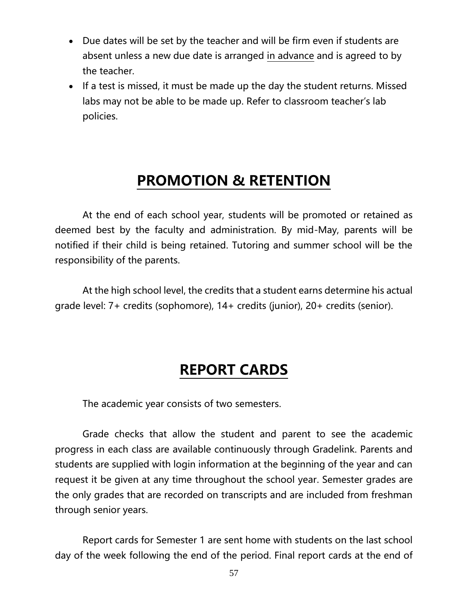- Due dates will be set by the teacher and will be firm even if students are absent unless a new due date is arranged in advance and is agreed to by the teacher.
- If a test is missed, it must be made up the day the student returns. Missed labs may not be able to be made up. Refer to classroom teacher's lab policies.

### **PROMOTION & RETENTION**

At the end of each school year, students will be promoted or retained as deemed best by the faculty and administration. By mid-May, parents will be notified if their child is being retained. Tutoring and summer school will be the responsibility of the parents.

At the high school level, the credits that a student earns determine his actual grade level: 7+ credits (sophomore), 14+ credits (junior), 20+ credits (senior).

### **REPORT CARDS**

The academic year consists of two semesters.

Grade checks that allow the student and parent to see the academic progress in each class are available continuously through Gradelink. Parents and students are supplied with login information at the beginning of the year and can request it be given at any time throughout the school year. Semester grades are the only grades that are recorded on transcripts and are included from freshman through senior years.

Report cards for Semester 1 are sent home with students on the last school day of the week following the end of the period. Final report cards at the end of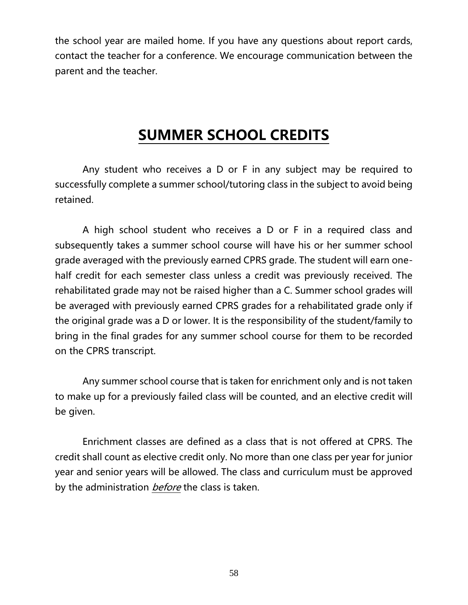the school year are mailed home. If you have any questions about report cards, contact the teacher for a conference. We encourage communication between the parent and the teacher.

### **SUMMER SCHOOL CREDITS**

Any student who receives a D or F in any subject may be required to successfully complete a summer school/tutoring class in the subject to avoid being retained.

A high school student who receives a D or F in a required class and subsequently takes a summer school course will have his or her summer school grade averaged with the previously earned CPRS grade. The student will earn onehalf credit for each semester class unless a credit was previously received. The rehabilitated grade may not be raised higher than a C. Summer school grades will be averaged with previously earned CPRS grades for a rehabilitated grade only if the original grade was a D or lower. It is the responsibility of the student/family to bring in the final grades for any summer school course for them to be recorded on the CPRS transcript.

Any summer school course that is taken for enrichment only and is not taken to make up for a previously failed class will be counted, and an elective credit will be given.

Enrichment classes are defined as a class that is not offered at CPRS. The credit shall count as elective credit only. No more than one class per year for junior year and senior years will be allowed. The class and curriculum must be approved by the administration *before* the class is taken.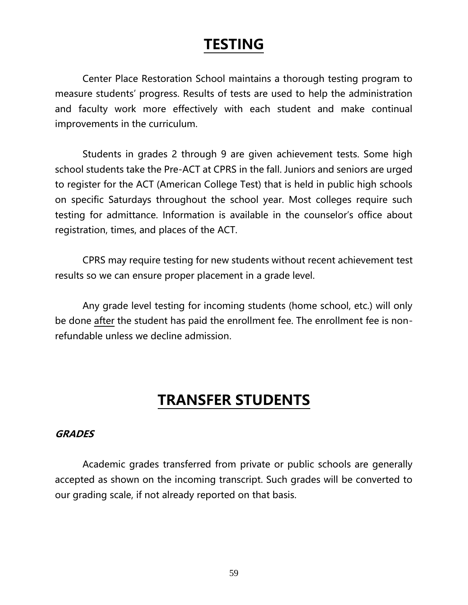### **TESTING**

Center Place Restoration School maintains a thorough testing program to measure students' progress. Results of tests are used to help the administration and faculty work more effectively with each student and make continual improvements in the curriculum.

Students in grades 2 through 9 are given achievement tests. Some high school students take the Pre-ACT at CPRS in the fall. Juniors and seniors are urged to register for the ACT (American College Test) that is held in public high schools on specific Saturdays throughout the school year. Most colleges require such testing for admittance. Information is available in the counselor's office about registration, times, and places of the ACT.

CPRS may require testing for new students without recent achievement test results so we can ensure proper placement in a grade level.

Any grade level testing for incoming students (home school, etc.) will only be done after the student has paid the enrollment fee. The enrollment fee is nonrefundable unless we decline admission.

### **TRANSFER STUDENTS**

#### **GRADES**

Academic grades transferred from private or public schools are generally accepted as shown on the incoming transcript. Such grades will be converted to our grading scale, if not already reported on that basis.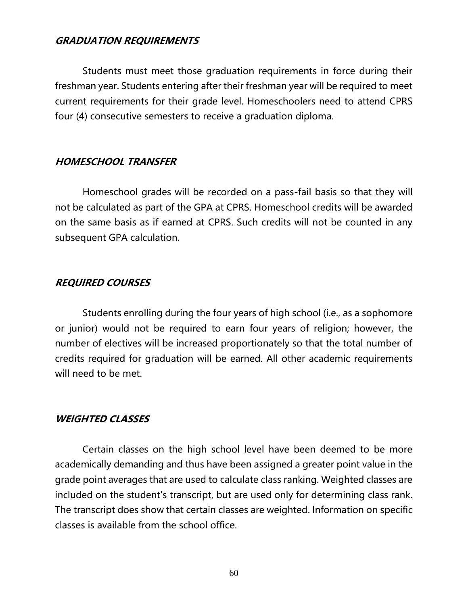#### **GRADUATION REQUIREMENTS**

Students must meet those graduation requirements in force during their freshman year. Students entering after their freshman year will be required to meet current requirements for their grade level. Homeschoolers need to attend CPRS four (4) consecutive semesters to receive a graduation diploma.

#### **HOMESCHOOL TRANSFER**

Homeschool grades will be recorded on a pass-fail basis so that they will not be calculated as part of the GPA at CPRS. Homeschool credits will be awarded on the same basis as if earned at CPRS. Such credits will not be counted in any subsequent GPA calculation.

#### **REQUIRED COURSES**

Students enrolling during the four years of high school (i.e., as a sophomore or junior) would not be required to earn four years of religion; however, the number of electives will be increased proportionately so that the total number of credits required for graduation will be earned. All other academic requirements will need to be met.

#### **WEIGHTED CLASSES**

Certain classes on the high school level have been deemed to be more academically demanding and thus have been assigned a greater point value in the grade point averages that are used to calculate class ranking. Weighted classes are included on the student's transcript, but are used only for determining class rank. The transcript does show that certain classes are weighted. Information on specific classes is available from the school office.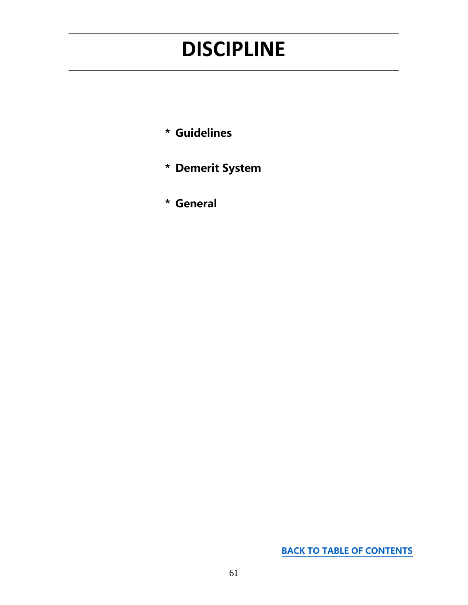## <span id="page-60-0"></span>**DISCIPLINE**

- **\* Guidelines**
- **\* Demerit System**
- **\* General**

**[BACK TO TABLE OF CONTENTS](#page-0-0)**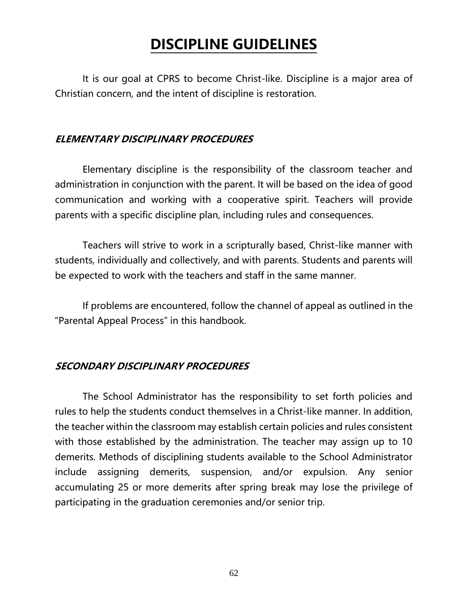### **DISCIPLINE GUIDELINES**

It is our goal at CPRS to become Christ-like. Discipline is a major area of Christian concern, and the intent of discipline is restoration.

#### **ELEMENTARY DISCIPLINARY PROCEDURES**

Elementary discipline is the responsibility of the classroom teacher and administration in conjunction with the parent. It will be based on the idea of good communication and working with a cooperative spirit. Teachers will provide parents with a specific discipline plan, including rules and consequences.

Teachers will strive to work in a scripturally based, Christ-like manner with students, individually and collectively, and with parents. Students and parents will be expected to work with the teachers and staff in the same manner.

If problems are encountered, follow the channel of appeal as outlined in the "Parental Appeal Process" in this handbook.

#### **SECONDARY DISCIPLINARY PROCEDURES**

The School Administrator has the responsibility to set forth policies and rules to help the students conduct themselves in a Christ-like manner. In addition, the teacher within the classroom may establish certain policies and rules consistent with those established by the administration. The teacher may assign up to 10 demerits. Methods of disciplining students available to the School Administrator include assigning demerits, suspension, and/or expulsion. Any senior accumulating 25 or more demerits after spring break may lose the privilege of participating in the graduation ceremonies and/or senior trip.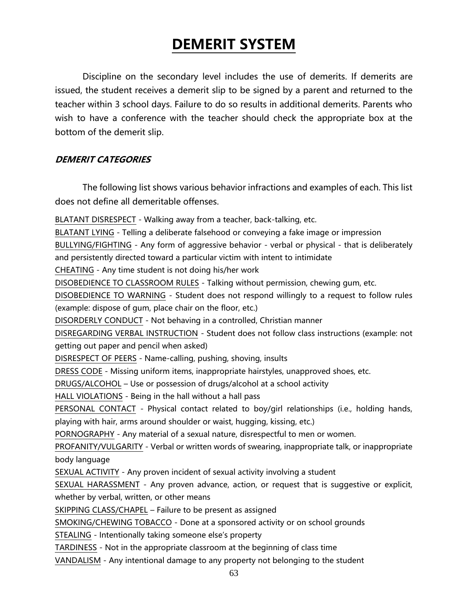### **DEMERIT SYSTEM**

Discipline on the secondary level includes the use of demerits. If demerits are issued, the student receives a demerit slip to be signed by a parent and returned to the teacher within 3 school days. Failure to do so results in additional demerits. Parents who wish to have a conference with the teacher should check the appropriate box at the bottom of the demerit slip.

#### **DEMERIT CATEGORIES**

The following list shows various behavior infractions and examples of each. This list does not define all demeritable offenses.

BLATANT DISRESPECT - Walking away from a teacher, back-talking, etc.

BLATANT LYING - Telling a deliberate falsehood or conveying a fake image or impression

BULLYING/FIGHTING - Any form of aggressive behavior - verbal or physical - that is deliberately and persistently directed toward a particular victim with intent to intimidate

CHEATING - Any time student is not doing his/her work

DISOBEDIENCE TO CLASSROOM RULES - Talking without permission, chewing gum, etc.

DISOBEDIENCE TO WARNING - Student does not respond willingly to a request to follow rules (example: dispose of gum, place chair on the floor, etc.)

DISORDERLY CONDUCT - Not behaving in a controlled, Christian manner

DISREGARDING VERBAL INSTRUCTION - Student does not follow class instructions (example: not getting out paper and pencil when asked)

DISRESPECT OF PEERS - Name-calling, pushing, shoving, insults

DRESS CODE - Missing uniform items, inappropriate hairstyles, unapproved shoes, etc.

DRUGS/ALCOHOL – Use or possession of drugs/alcohol at a school activity

HALL VIOLATIONS - Being in the hall without a hall pass

PERSONAL CONTACT - Physical contact related to boy/girl relationships (i.e., holding hands, playing with hair, arms around shoulder or waist, hugging, kissing, etc.)

PORNOGRAPHY - Any material of a sexual nature, disrespectful to men or women.

PROFANITY/VULGARITY - Verbal or written words of swearing, inappropriate talk, or inappropriate body language

SEXUAL ACTIVITY - Any proven incident of sexual activity involving a student

SEXUAL HARASSMENT - Any proven advance, action, or request that is suggestive or explicit, whether by verbal, written, or other means

SKIPPING CLASS/CHAPEL – Failure to be present as assigned

SMOKING/CHEWING TOBACCO - Done at a sponsored activity or on school grounds

STEALING - Intentionally taking someone else's property

TARDINESS - Not in the appropriate classroom at the beginning of class time

VANDALISM - Any intentional damage to any property not belonging to the student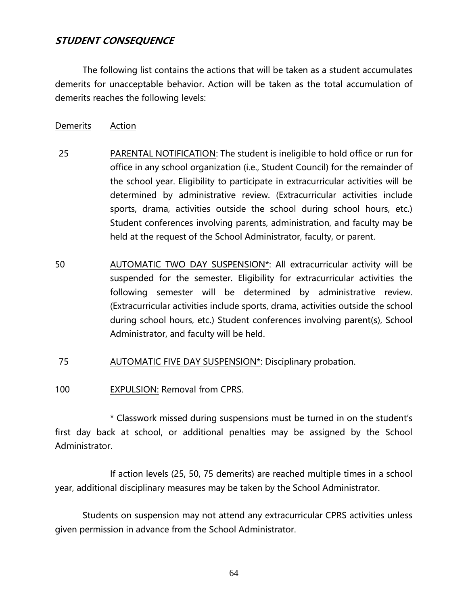#### **STUDENT CONSEQUENCE**

The following list contains the actions that will be taken as a student accumulates demerits for unacceptable behavior. Action will be taken as the total accumulation of demerits reaches the following levels:

- Demerits Action
- 25 PARENTAL NOTIFICATION: The student is ineligible to hold office or run for office in any school organization (i.e., Student Council) for the remainder of the school year. Eligibility to participate in extracurricular activities will be determined by administrative review. (Extracurricular activities include sports, drama, activities outside the school during school hours, etc.) Student conferences involving parents, administration, and faculty may be held at the request of the School Administrator, faculty, or parent.
- 50 AUTOMATIC TWO DAY SUSPENSION\*: All extracurricular activity will be suspended for the semester. Eligibility for extracurricular activities the following semester will be determined by administrative review. (Extracurricular activities include sports, drama, activities outside the school during school hours, etc.) Student conferences involving parent(s), School Administrator, and faculty will be held.
- 75 AUTOMATIC FIVE DAY SUSPENSION\*: Disciplinary probation.
- 100 EXPULSION: Removal from CPRS.

\* Classwork missed during suspensions must be turned in on the student's first day back at school, or additional penalties may be assigned by the School Administrator.

If action levels (25, 50, 75 demerits) are reached multiple times in a school year, additional disciplinary measures may be taken by the School Administrator.

Students on suspension may not attend any extracurricular CPRS activities unless given permission in advance from the School Administrator.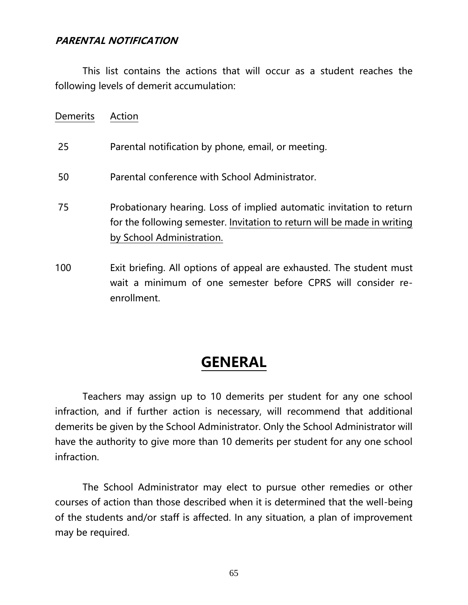#### **PARENTAL NOTIFICATION**

enrollment.

This list contains the actions that will occur as a student reaches the following levels of demerit accumulation:

| <b>Demerits</b> | Action                                                                                                                                                                        |
|-----------------|-------------------------------------------------------------------------------------------------------------------------------------------------------------------------------|
| 25              | Parental notification by phone, email, or meeting.                                                                                                                            |
| 50              | Parental conference with School Administrator.                                                                                                                                |
| 75              | Probationary hearing. Loss of implied automatic invitation to return<br>for the following semester. Invitation to return will be made in writing<br>by School Administration. |
| 100             | Exit briefing. All options of appeal are exhausted. The student must<br>wait a minimum of one semester before CPRS will consider re-                                          |

### **GENERAL**

Teachers may assign up to 10 demerits per student for any one school infraction, and if further action is necessary, will recommend that additional demerits be given by the School Administrator. Only the School Administrator will have the authority to give more than 10 demerits per student for any one school infraction.

The School Administrator may elect to pursue other remedies or other courses of action than those described when it is determined that the well-being of the students and/or staff is affected. In any situation, a plan of improvement may be required.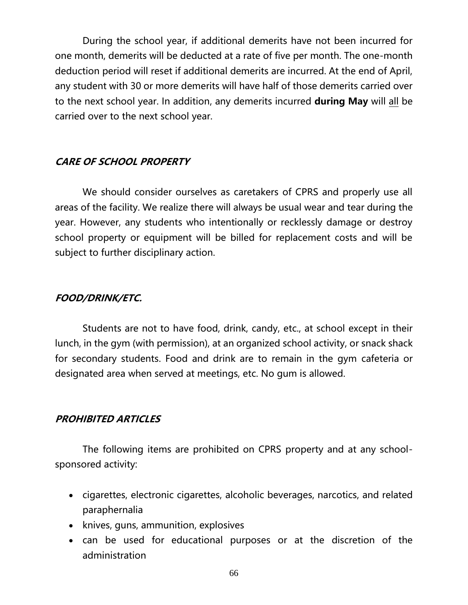During the school year, if additional demerits have not been incurred for one month, demerits will be deducted at a rate of five per month. The one-month deduction period will reset if additional demerits are incurred. At the end of April, any student with 30 or more demerits will have half of those demerits carried over to the next school year. In addition, any demerits incurred **during May** will all be carried over to the next school year.

#### **CARE OF SCHOOL PROPERTY**

We should consider ourselves as caretakers of CPRS and properly use all areas of the facility. We realize there will always be usual wear and tear during the year. However, any students who intentionally or recklessly damage or destroy school property or equipment will be billed for replacement costs and will be subject to further disciplinary action.

#### **FOOD/DRINK/ETC.**

Students are not to have food, drink, candy, etc., at school except in their lunch, in the gym (with permission), at an organized school activity, or snack shack for secondary students. Food and drink are to remain in the gym cafeteria or designated area when served at meetings, etc. No gum is allowed.

#### **PROHIBITED ARTICLES**

The following items are prohibited on CPRS property and at any schoolsponsored activity:

- cigarettes, electronic cigarettes, alcoholic beverages, narcotics, and related paraphernalia
- knives, guns, ammunition, explosives
- can be used for educational purposes or at the discretion of the administration